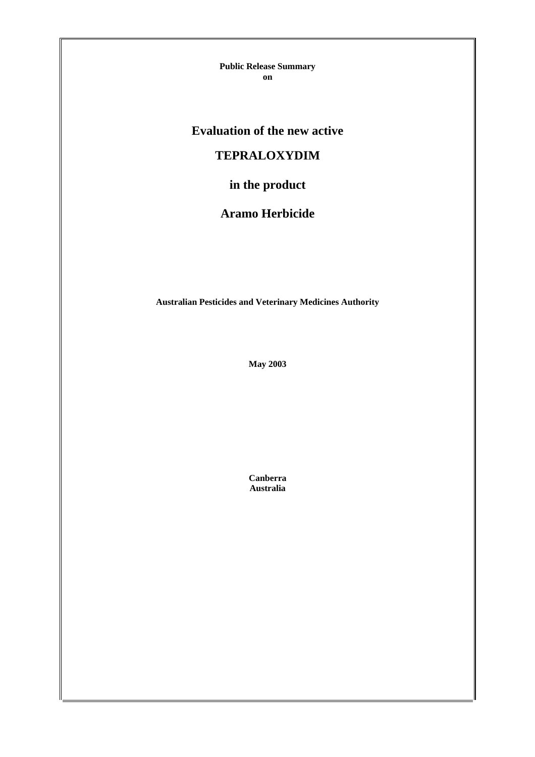**Public Release Summary on** 

# **Evaluation of the new active**

# **TEPRALOXYDIM**

**in the product** 

# **Aramo Herbicide**

**Australian Pesticides and Veterinary Medicines Authority** 

**May 2003**

**Canberra Australia**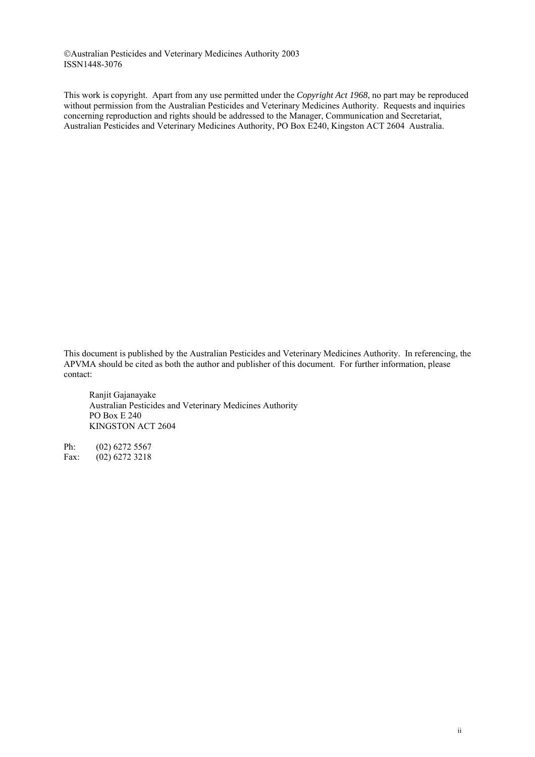©Australian Pesticides and Veterinary Medicines Authority 2003 ISSN1448-3076

This work is copyright. Apart from any use permitted under the *Copyright Act 1968*, no part may be reproduced without permission from the Australian Pesticides and Veterinary Medicines Authority. Requests and inquiries concerning reproduction and rights should be addressed to the Manager, Communication and Secretariat, Australian Pesticides and Veterinary Medicines Authority, PO Box E240, Kingston ACT 2604 Australia.

This document is published by the Australian Pesticides and Veterinary Medicines Authority. In referencing, the APVMA should be cited as both the author and publisher of this document. For further information, please contact:

Ranjit Gajanayake Australian Pesticides and Veterinary Medicines Authority PO Box E 240 KINGSTON ACT 2604

Ph: (02) 6272 5567 Fax: (02) 6272 3218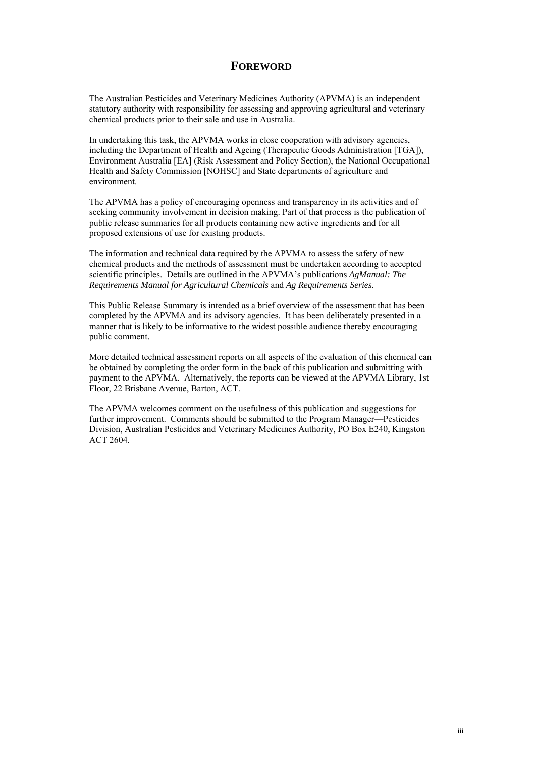#### **FOREWORD**

The Australian Pesticides and Veterinary Medicines Authority (APVMA) is an independent statutory authority with responsibility for assessing and approving agricultural and veterinary chemical products prior to their sale and use in Australia.

In undertaking this task, the APVMA works in close cooperation with advisory agencies, including the Department of Health and Ageing (Therapeutic Goods Administration [TGA]), Environment Australia [EA] (Risk Assessment and Policy Section), the National Occupational Health and Safety Commission [NOHSC] and State departments of agriculture and environment.

The APVMA has a policy of encouraging openness and transparency in its activities and of seeking community involvement in decision making. Part of that process is the publication of public release summaries for all products containing new active ingredients and for all proposed extensions of use for existing products.

The information and technical data required by the APVMA to assess the safety of new chemical products and the methods of assessment must be undertaken according to accepted scientific principles. Details are outlined in the APVMA's publications *AgManual: The Requirements Manual for Agricultural Chemicals* and *Ag Requirements Series.*

This Public Release Summary is intended as a brief overview of the assessment that has been completed by the APVMA and its advisory agencies. It has been deliberately presented in a manner that is likely to be informative to the widest possible audience thereby encouraging public comment.

More detailed technical assessment reports on all aspects of the evaluation of this chemical can be obtained by completing the order form in the back of this publication and submitting with payment to the APVMA. Alternatively, the reports can be viewed at the APVMA Library, 1st Floor, 22 Brisbane Avenue, Barton, ACT.

The APVMA welcomes comment on the usefulness of this publication and suggestions for further improvement. Comments should be submitted to the Program Manager—Pesticides Division, Australian Pesticides and Veterinary Medicines Authority, PO Box E240, Kingston ACT 2604.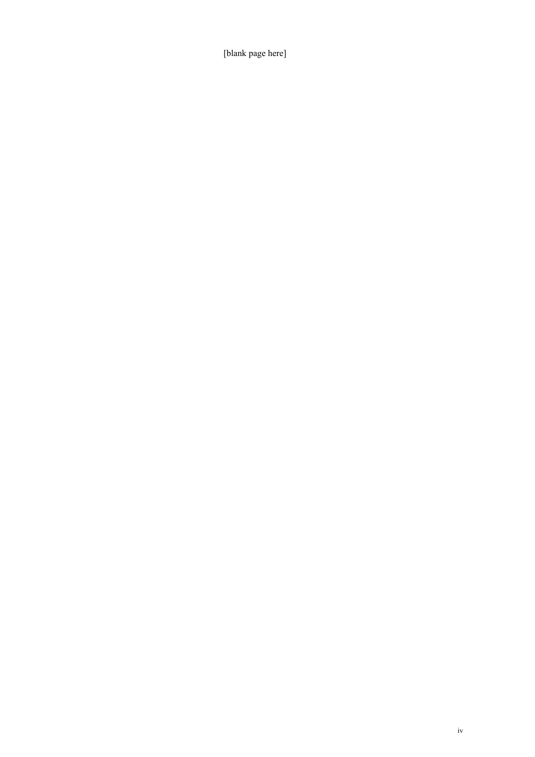[blank page here]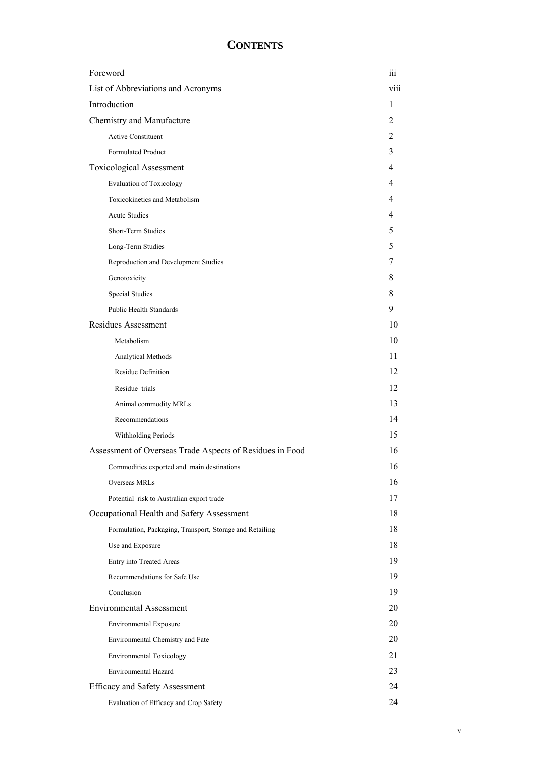# **CONTENTS**

| Foreword                                                 | iii         |
|----------------------------------------------------------|-------------|
| List of Abbreviations and Acronyms                       | <b>V111</b> |
| Introduction                                             | 1           |
| Chemistry and Manufacture                                | 2           |
| <b>Active Constituent</b>                                | 2           |
| Formulated Product                                       | 3           |
| <b>Toxicological Assessment</b>                          | 4           |
| <b>Evaluation of Toxicology</b>                          | 4           |
| Toxicokinetics and Metabolism                            | 4           |
| <b>Acute Studies</b>                                     | 4           |
| Short-Term Studies                                       | 5           |
| Long-Term Studies                                        | 5           |
| Reproduction and Development Studies                     | 7           |
| Genotoxicity                                             | 8           |
| <b>Special Studies</b>                                   | 8           |
| <b>Public Health Standards</b>                           | 9           |
| Residues Assessment                                      | 10          |
| Metabolism                                               | 10          |
| Analytical Methods                                       | 11          |
| Residue Definition                                       | 12          |
| Residue trials                                           | 12          |
| Animal commodity MRLs                                    | 13          |
| Recommendations                                          | 14          |
| Withholding Periods                                      | 15          |
| Assessment of Overseas Trade Aspects of Residues in Food | 16          |
| Commodities exported and main destinations               | 16          |
| Overseas MRLs                                            | 16          |
| Potential risk to Australian export trade                | 17          |
| Occupational Health and Safety Assessment                | 18          |
| Formulation, Packaging, Transport, Storage and Retailing | 18          |
| Use and Exposure                                         | 18          |
| Entry into Treated Areas                                 | 19          |
| Recommendations for Safe Use                             | 19          |
| Conclusion                                               | 19          |
| <b>Environmental Assessment</b>                          | 20          |
| Environmental Exposure                                   | 20          |
| Environmental Chemistry and Fate                         | 20          |
| <b>Environmental Toxicology</b>                          | 21          |
| Environmental Hazard                                     | 23          |
| Efficacy and Safety Assessment                           | 24          |
| Evaluation of Efficacy and Crop Safety                   | 24          |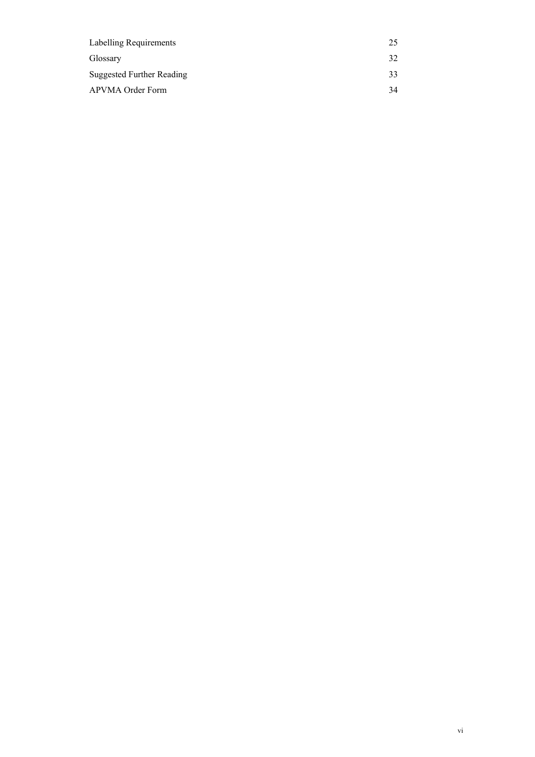| Labelling Requirements    | 25 |
|---------------------------|----|
| Glossary                  | 32 |
| Suggested Further Reading | 33 |
| APVMA Order Form          | 34 |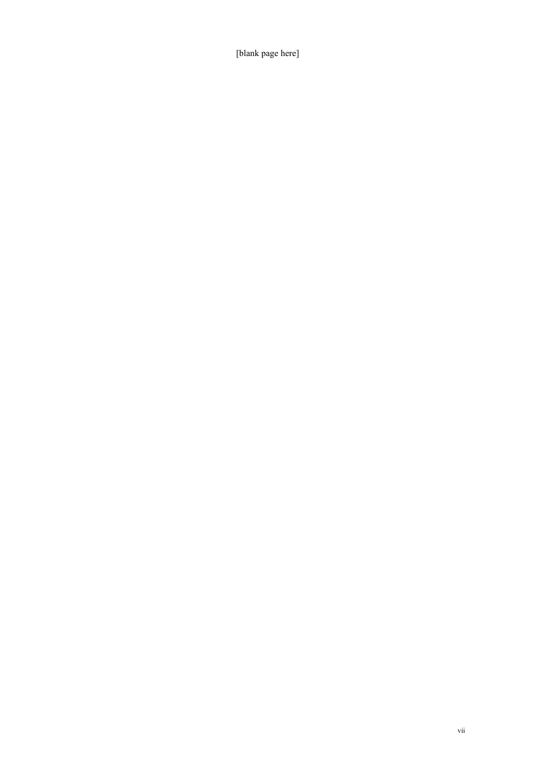[blank page here]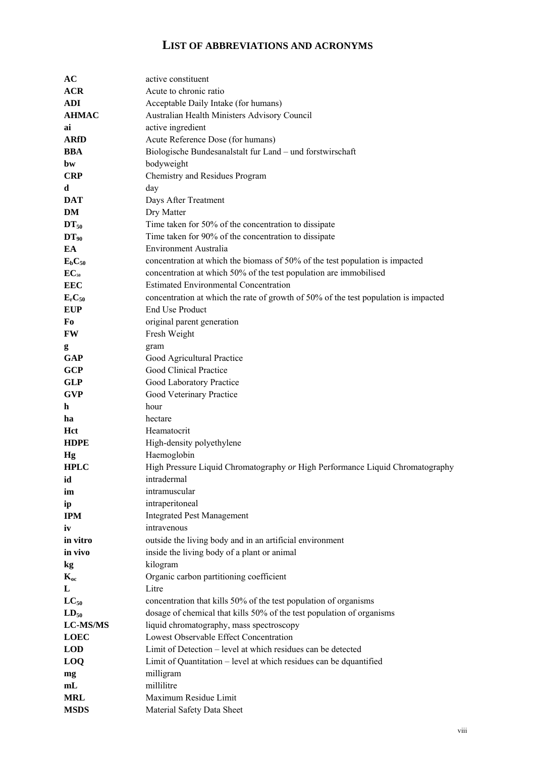# **LIST OF ABBREVIATIONS AND ACRONYMS**

| AC              | active constituent                                                                  |
|-----------------|-------------------------------------------------------------------------------------|
| ACR             | Acute to chronic ratio                                                              |
| <b>ADI</b>      | Acceptable Daily Intake (for humans)                                                |
| <b>AHMAC</b>    | Australian Health Ministers Advisory Council                                        |
| ai              | active ingredient                                                                   |
| <b>ARfD</b>     | Acute Reference Dose (for humans)                                                   |
| <b>BBA</b>      | Biologische Bundesanalstalt fur Land - und forstwirschaft                           |
| bw              | bodyweight                                                                          |
| <b>CRP</b>      | Chemistry and Residues Program                                                      |
| d               | day                                                                                 |
| <b>DAT</b>      | Days After Treatment                                                                |
| DM              | Dry Matter                                                                          |
| $DT_{50}$       | Time taken for 50% of the concentration to dissipate                                |
| $DT_{90}$       | Time taken for 90% of the concentration to dissipate                                |
| EA              | <b>Environment Australia</b>                                                        |
| $E_bC_{50}$     | concentration at which the biomass of 50% of the test population is impacted        |
| $EC_{50}$       | concentration at which 50% of the test population are immobilised                   |
| <b>EEC</b>      | <b>Estimated Environmental Concentration</b>                                        |
| $E_rC_{50}$     | concentration at which the rate of growth of 50% of the test population is impacted |
| <b>EUP</b>      | End Use Product                                                                     |
| Fo              | original parent generation                                                          |
| FW              | Fresh Weight                                                                        |
| g               | gram                                                                                |
| <b>GAP</b>      | Good Agricultural Practice                                                          |
| <b>GCP</b>      | Good Clinical Practice                                                              |
| <b>GLP</b>      | Good Laboratory Practice                                                            |
| <b>GVP</b>      | Good Veterinary Practice                                                            |
| h               | hour                                                                                |
| ha              | hectare                                                                             |
| Hct             | Heamatocrit                                                                         |
| <b>HDPE</b>     | High-density polyethylene                                                           |
| Hg              | Haemoglobin                                                                         |
| <b>HPLC</b>     | High Pressure Liquid Chromatography or High Performance Liquid Chromatography       |
| id              | intradermal                                                                         |
| im              | intramuscular                                                                       |
| ip              | intraperitoneal                                                                     |
| <b>IPM</b>      | <b>Integrated Pest Management</b>                                                   |
| iv              | intravenous                                                                         |
| in vitro        | outside the living body and in an artificial environment                            |
| in vivo         | inside the living body of a plant or animal                                         |
|                 | kilogram                                                                            |
| kg<br>$K_{oc}$  | Organic carbon partitioning coefficient                                             |
| L               | Litre                                                                               |
| $LC_{50}$       | concentration that kills 50% of the test population of organisms                    |
| $LD_{50}$       | dosage of chemical that kills 50% of the test population of organisms               |
| <b>LC-MS/MS</b> | liquid chromatography, mass spectroscopy                                            |
| <b>LOEC</b>     | Lowest Observable Effect Concentration                                              |
| <b>LOD</b>      | Limit of Detection – level at which residues can be detected                        |
| LOQ             | Limit of Quantitation – level at which residues can be dquantified                  |
|                 | milligram                                                                           |
| mg<br>mL        | millilitre                                                                          |
| <b>MRL</b>      | Maximum Residue Limit                                                               |
|                 |                                                                                     |
| <b>MSDS</b>     | Material Safety Data Sheet                                                          |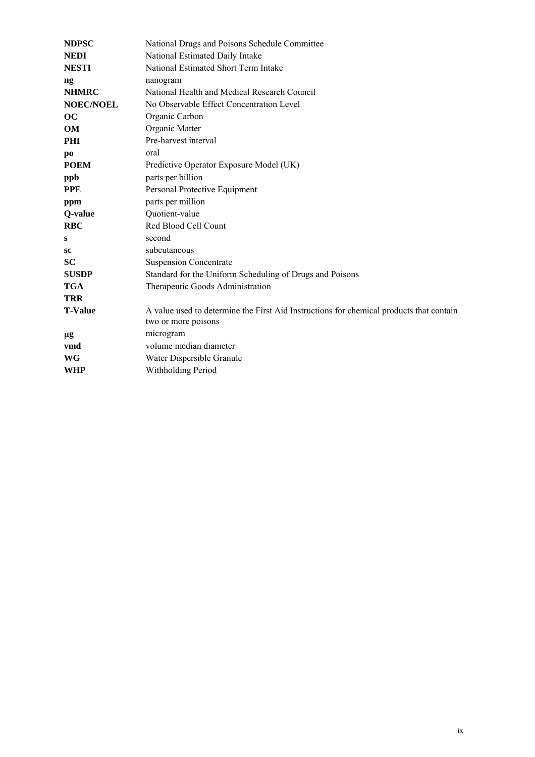| <b>NDPSC</b>     | National Drugs and Poisons Schedule Committee                                           |
|------------------|-----------------------------------------------------------------------------------------|
| <b>NEDI</b>      | National Estimated Daily Intake                                                         |
| <b>NESTI</b>     | National Estimated Short Term Intake                                                    |
| $\mathbf{ng}$    | nanogram                                                                                |
| <b>NHMRC</b>     | National Health and Medical Research Council                                            |
| <b>NOEC/NOEL</b> | No Observable Effect Concentration Level                                                |
| <b>OC</b>        | Organic Carbon                                                                          |
| <b>OM</b>        | Organic Matter                                                                          |
| PHI              | Pre-harvest interval                                                                    |
| po               | oral                                                                                    |
| <b>POEM</b>      | Predictive Operator Exposure Model (UK)                                                 |
| ppb              | parts per billion                                                                       |
| <b>PPE</b>       | Personal Protective Equipment                                                           |
| ppm              | parts per million                                                                       |
| Q-value          | Quotient-value                                                                          |
| <b>RBC</b>       | Red Blood Cell Count                                                                    |
| S                | second                                                                                  |
| sc               | subcutaneous                                                                            |
| SC               | <b>Suspension Concentrate</b>                                                           |
| <b>SUSDP</b>     | Standard for the Uniform Scheduling of Drugs and Poisons                                |
| <b>TGA</b>       | Therapeutic Goods Administration                                                        |
| TRR              |                                                                                         |
| <b>T-Value</b>   | A value used to determine the First Aid Instructions for chemical products that contain |
|                  | two or more poisons                                                                     |
| μg               | microgram                                                                               |
| vmd              | volume median diameter                                                                  |
| WG               | Water Dispersible Granule                                                               |
| <b>WHP</b>       | Withholding Period                                                                      |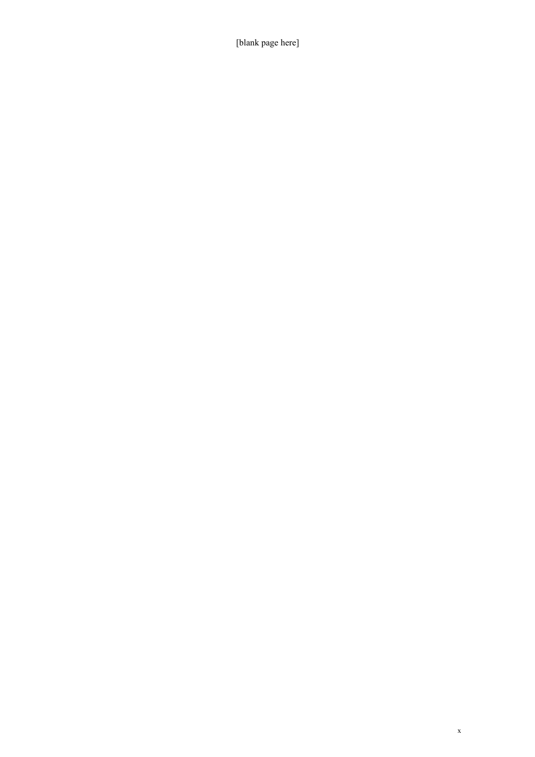[blank page here]

x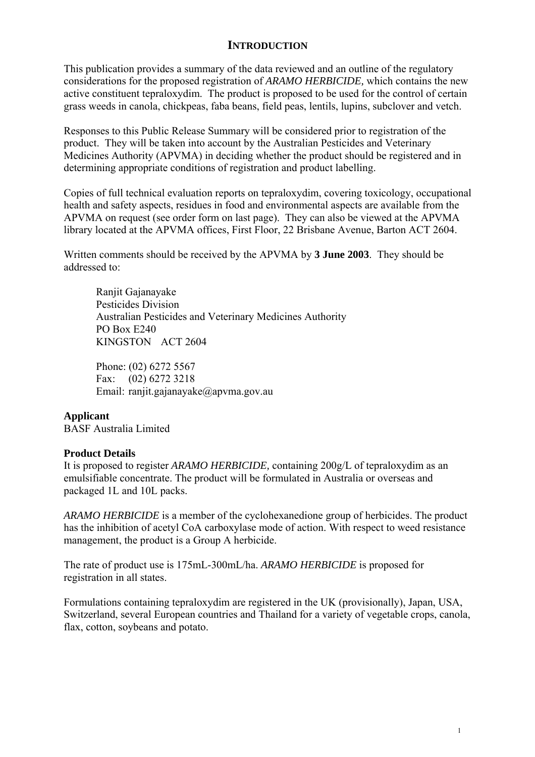## **INTRODUCTION**

This publication provides a summary of the data reviewed and an outline of the regulatory considerations for the proposed registration of *ARAMO HERBICIDE,* which contains the new active constituent tepraloxydim. The product is proposed to be used for the control of certain grass weeds in canola, chickpeas, faba beans, field peas, lentils, lupins, subclover and vetch.

Responses to this Public Release Summary will be considered prior to registration of the product. They will be taken into account by the Australian Pesticides and Veterinary Medicines Authority (APVMA) in deciding whether the product should be registered and in determining appropriate conditions of registration and product labelling.

Copies of full technical evaluation reports on tepraloxydim, covering toxicology, occupational health and safety aspects, residues in food and environmental aspects are available from the APVMA on request (see order form on last page). They can also be viewed at the APVMA library located at the APVMA offices, First Floor, 22 Brisbane Avenue, Barton ACT 2604.

Written comments should be received by the APVMA by **3 June 2003**. They should be addressed to:

 Ranjit Gajanayake Pesticides Division Australian Pesticides and Veterinary Medicines Authority PO Box E240 KINGSTON ACT 2604

Phone: (02) 6272 5567 Fax: (02) 6272 3218 Email: ranjit.gajanayake@apvma.gov.au

## **Applicant**

BASF Australia Limited

#### **Product Details**

It is proposed to register *ARAMO HERBICIDE,* containing 200g/L of tepraloxydim as an emulsifiable concentrate. The product will be formulated in Australia or overseas and packaged 1L and 10L packs.

*ARAMO HERBICIDE* is a member of the cyclohexanedione group of herbicides. The product has the inhibition of acetyl CoA carboxylase mode of action. With respect to weed resistance management, the product is a Group A herbicide.

The rate of product use is 175mL-300mL/ha. *ARAMO HERBICIDE* is proposed for registration in all states.

Formulations containing tepraloxydim are registered in the UK (provisionally), Japan, USA, Switzerland, several European countries and Thailand for a variety of vegetable crops, canola, flax, cotton, soybeans and potato.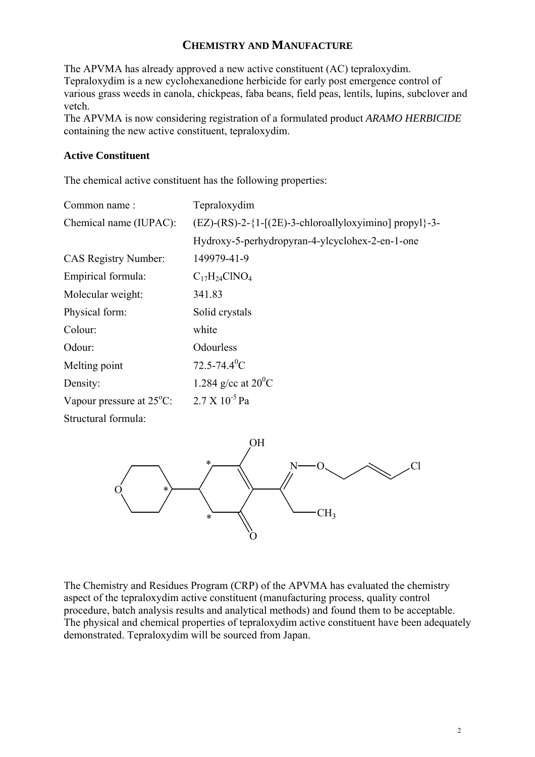# **CHEMISTRY AND MANUFACTURE**

The APVMA has already approved a new active constituent (AC) tepraloxydim. Tepraloxydim is a new cyclohexanedione herbicide for early post emergence control of various grass weeds in canola, chickpeas, faba beans, field peas, lentils, lupins, subclover and vetch.

The APVMA is now considering registration of a formulated product *ARAMO HERBICIDE* containing the new active constituent, tepraloxydim.

## **Active Constituent**

The chemical active constituent has the following properties:

| Common name:                | Tepraloxydim                                                  |
|-----------------------------|---------------------------------------------------------------|
| Chemical name (IUPAC):      | $(EZ)$ -(RS)-2-{1- $[(2E)$ -3-chloroallyloxyimino] propyl}-3- |
|                             | Hydroxy-5-perhydropyran-4-ylcyclohex-2-en-1-one               |
| <b>CAS Registry Number:</b> | 149979-41-9                                                   |
| Empirical formula:          | $C_{17}H_{24}CINO_4$                                          |
| Molecular weight:           | 341.83                                                        |
| Physical form:              | Solid crystals                                                |
| Colour:                     | white                                                         |
| Odour:                      | Odourless                                                     |
| Melting point               | $72.5 - 74.4$ <sup>0</sup> C                                  |
| Density:                    | 1.284 g/cc at $20^0C$                                         |
| Vapour pressure at 25°C:    | $2.7 \times 10^{-5}$ Pa                                       |
| Structural formula:         |                                                               |



The Chemistry and Residues Program (CRP) of the APVMA has evaluated the chemistry aspect of the tepraloxydim active constituent (manufacturing process, quality control procedure, batch analysis results and analytical methods) and found them to be acceptable. The physical and chemical properties of tepraloxydim active constituent have been adequately demonstrated. Tepraloxydim will be sourced from Japan.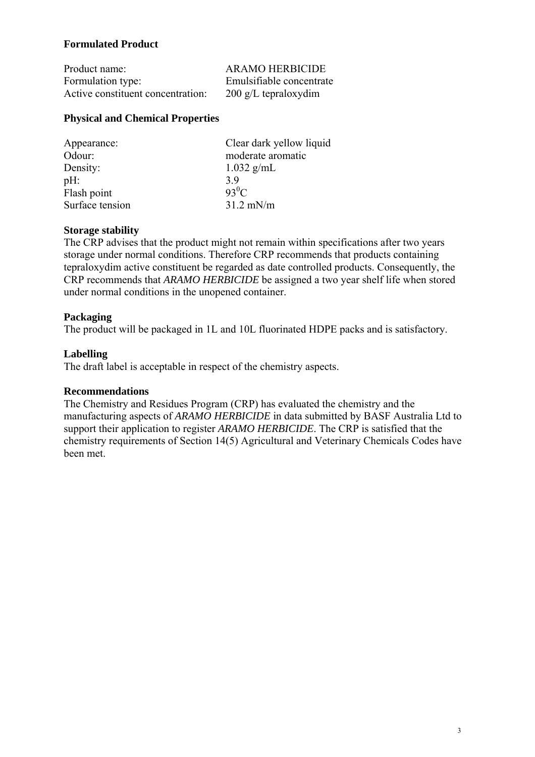## **Formulated Product**

| Product name:                     | <b>ARAMO HERBICIDE</b>         |
|-----------------------------------|--------------------------------|
| Formulation type:                 | Emulsifiable concentrate       |
| Active constituent concentration: | $200 \text{ g/L}$ tepraloxydim |

## **Physical and Chemical Properties**

| Appearance:     | Clear dark yellow liquid |
|-----------------|--------------------------|
| Odour:          | moderate aromatic        |
| Density:        | $1.032$ g/mL             |
| $pH$ :          | 39                       |
| Flash point     | $93^0C$                  |
| Surface tension | $31.2$ mN/m              |

#### **Storage stability**

The CRP advises that the product might not remain within specifications after two years storage under normal conditions. Therefore CRP recommends that products containing tepraloxydim active constituent be regarded as date controlled products. Consequently, the CRP recommends that *ARAMO HERBICIDE* be assigned a two year shelf life when stored under normal conditions in the unopened container.

#### **Packaging**

The product will be packaged in 1L and 10L fluorinated HDPE packs and is satisfactory.

## **Labelling**

The draft label is acceptable in respect of the chemistry aspects.

#### **Recommendations**

The Chemistry and Residues Program (CRP) has evaluated the chemistry and the manufacturing aspects of *ARAMO HERBICIDE* in data submitted by BASF Australia Ltd to support their application to register *ARAMO HERBICIDE*. The CRP is satisfied that the chemistry requirements of Section 14(5) Agricultural and Veterinary Chemicals Codes have been met.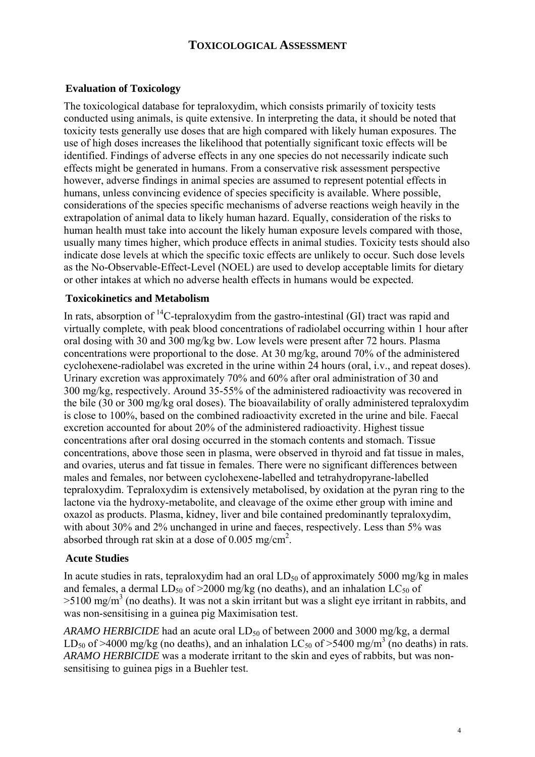# **TOXICOLOGICAL ASSESSMENT**

## **Evaluation of Toxicology**

The toxicological database for tepraloxydim, which consists primarily of toxicity tests conducted using animals, is quite extensive. In interpreting the data, it should be noted that toxicity tests generally use doses that are high compared with likely human exposures. The use of high doses increases the likelihood that potentially significant toxic effects will be identified. Findings of adverse effects in any one species do not necessarily indicate such effects might be generated in humans. From a conservative risk assessment perspective however, adverse findings in animal species are assumed to represent potential effects in humans, unless convincing evidence of species specificity is available. Where possible, considerations of the species specific mechanisms of adverse reactions weigh heavily in the extrapolation of animal data to likely human hazard. Equally, consideration of the risks to human health must take into account the likely human exposure levels compared with those, usually many times higher, which produce effects in animal studies. Toxicity tests should also indicate dose levels at which the specific toxic effects are unlikely to occur. Such dose levels as the No-Observable-Effect-Level (NOEL) are used to develop acceptable limits for dietary or other intakes at which no adverse health effects in humans would be expected.

## **Toxicokinetics and Metabolism**

In rats, absorption of  ${}^{14}$ C-tepraloxydim from the gastro-intestinal (GI) tract was rapid and virtually complete, with peak blood concentrations of radiolabel occurring within 1 hour after oral dosing with 30 and 300 mg/kg bw. Low levels were present after 72 hours. Plasma concentrations were proportional to the dose. At 30 mg/kg, around 70% of the administered cyclohexene-radiolabel was excreted in the urine within 24 hours (oral, i.v., and repeat doses). Urinary excretion was approximately 70% and 60% after oral administration of 30 and 300 mg/kg, respectively. Around 35-55% of the administered radioactivity was recovered in the bile (30 or 300 mg/kg oral doses). The bioavailability of orally administered tepraloxydim is close to 100%, based on the combined radioactivity excreted in the urine and bile. Faecal excretion accounted for about 20% of the administered radioactivity. Highest tissue concentrations after oral dosing occurred in the stomach contents and stomach. Tissue concentrations, above those seen in plasma, were observed in thyroid and fat tissue in males, and ovaries, uterus and fat tissue in females. There were no significant differences between males and females, nor between cyclohexene-labelled and tetrahydropyrane-labelled tepraloxydim. Tepraloxydim is extensively metabolised, by oxidation at the pyran ring to the lactone via the hydroxy-metabolite, and cleavage of the oxime ether group with imine and oxazol as products. Plasma, kidney, liver and bile contained predominantly tepraloxydim, with about 30% and 2% unchanged in urine and faeces, respectively. Less than 5% was absorbed through rat skin at a dose of  $0.005$  mg/cm<sup>2</sup>.

## **Acute Studies**

In acute studies in rats, tepraloxydim had an oral  $LD_{50}$  of approximately 5000 mg/kg in males and females, a dermal  $LD_{50}$  of  $>2000$  mg/kg (no deaths), and an inhalation  $LC_{50}$  of  $>5100$  mg/m<sup>3</sup> (no deaths). It was not a skin irritant but was a slight eye irritant in rabbits, and was non-sensitising in a guinea pig Maximisation test.

*ARAMO HERBICIDE* had an acute oral LD<sub>50</sub> of between 2000 and 3000 mg/kg, a dermal LD<sub>50</sub> of >4000 mg/kg (no deaths), and an inhalation LC<sub>50</sub> of >5400 mg/m<sup>3</sup> (no deaths) in rats. *ARAMO HERBICIDE* was a moderate irritant to the skin and eyes of rabbits, but was nonsensitising to guinea pigs in a Buehler test.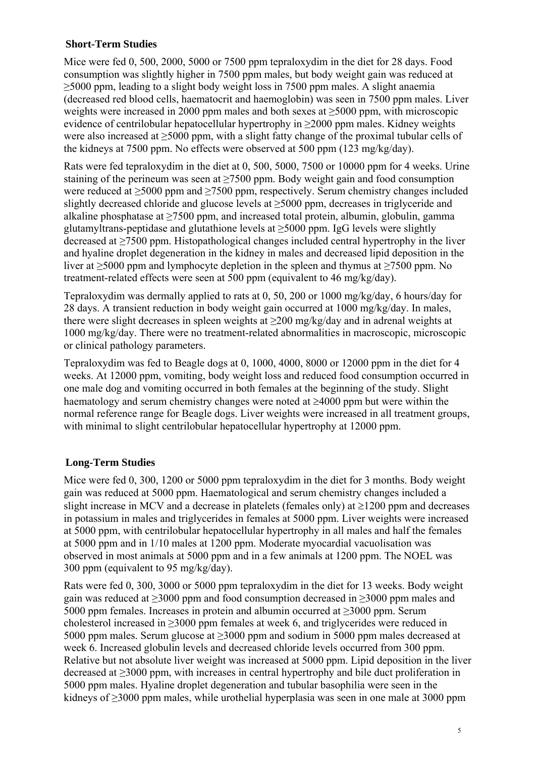## **Short-Term Studies**

Mice were fed 0, 500, 2000, 5000 or 7500 ppm tepraloxydim in the diet for 28 days. Food consumption was slightly higher in 7500 ppm males, but body weight gain was reduced at ≥5000 ppm, leading to a slight body weight loss in 7500 ppm males. A slight anaemia (decreased red blood cells, haematocrit and haemoglobin) was seen in 7500 ppm males. Liver weights were increased in 2000 ppm males and both sexes at ≥5000 ppm, with microscopic evidence of centrilobular hepatocellular hypertrophy in ≥2000 ppm males. Kidney weights were also increased at >5000 ppm, with a slight fatty change of the proximal tubular cells of the kidneys at 7500 ppm. No effects were observed at 500 ppm (123 mg/kg/day).

Rats were fed tepraloxydim in the diet at 0, 500, 5000, 7500 or 10000 ppm for 4 weeks. Urine staining of the perineum was seen at  $\geq$ 7500 ppm. Body weight gain and food consumption were reduced at ≥5000 ppm and ≥7500 ppm, respectively. Serum chemistry changes included slightly decreased chloride and glucose levels at  $>5000$  ppm, decreases in triglyceride and alkaline phosphatase at  $\geq$ 7500 ppm, and increased total protein, albumin, globulin, gamma glutamyltrans-peptidase and glutathione levels at  $\geq$ 5000 ppm. IgG levels were slightly decreased at ≥7500 ppm. Histopathological changes included central hypertrophy in the liver and hyaline droplet degeneration in the kidney in males and decreased lipid deposition in the liver at  $\geq$ 5000 ppm and lymphocyte depletion in the spleen and thymus at  $\geq$ 7500 ppm. No treatment-related effects were seen at 500 ppm (equivalent to 46 mg/kg/day).

Tepraloxydim was dermally applied to rats at 0, 50, 200 or 1000 mg/kg/day, 6 hours/day for 28 days. A transient reduction in body weight gain occurred at 1000 mg/kg/day. In males, there were slight decreases in spleen weights at ≥200 mg/kg/day and in adrenal weights at 1000 mg/kg/day. There were no treatment-related abnormalities in macroscopic, microscopic or clinical pathology parameters.

Tepraloxydim was fed to Beagle dogs at 0, 1000, 4000, 8000 or 12000 ppm in the diet for 4 weeks. At 12000 ppm, vomiting, body weight loss and reduced food consumption occurred in one male dog and vomiting occurred in both females at the beginning of the study. Slight haematology and serum chemistry changes were noted at ≥4000 ppm but were within the normal reference range for Beagle dogs. Liver weights were increased in all treatment groups, with minimal to slight centrilobular hepatocellular hypertrophy at 12000 ppm.

## **Long-Term Studies**

Mice were fed 0, 300, 1200 or 5000 ppm tepraloxydim in the diet for 3 months. Body weight gain was reduced at 5000 ppm. Haematological and serum chemistry changes included a slight increase in MCV and a decrease in platelets (females only) at  $\geq$ 1200 ppm and decreases in potassium in males and triglycerides in females at 5000 ppm. Liver weights were increased at 5000 ppm, with centrilobular hepatocellular hypertrophy in all males and half the females at 5000 ppm and in 1/10 males at 1200 ppm. Moderate myocardial vacuolisation was observed in most animals at 5000 ppm and in a few animals at 1200 ppm. The NOEL was 300 ppm (equivalent to 95 mg/kg/day).

Rats were fed 0, 300, 3000 or 5000 ppm tepraloxydim in the diet for 13 weeks. Body weight gain was reduced at ≥3000 ppm and food consumption decreased in ≥3000 ppm males and 5000 ppm females. Increases in protein and albumin occurred at ≥3000 ppm. Serum cholesterol increased in ≥3000 ppm females at week 6, and triglycerides were reduced in 5000 ppm males. Serum glucose at ≥3000 ppm and sodium in 5000 ppm males decreased at week 6. Increased globulin levels and decreased chloride levels occurred from 300 ppm. Relative but not absolute liver weight was increased at 5000 ppm. Lipid deposition in the liver decreased at ≥3000 ppm, with increases in central hypertrophy and bile duct proliferation in 5000 ppm males. Hyaline droplet degeneration and tubular basophilia were seen in the kidneys of ≥3000 ppm males, while urothelial hyperplasia was seen in one male at 3000 ppm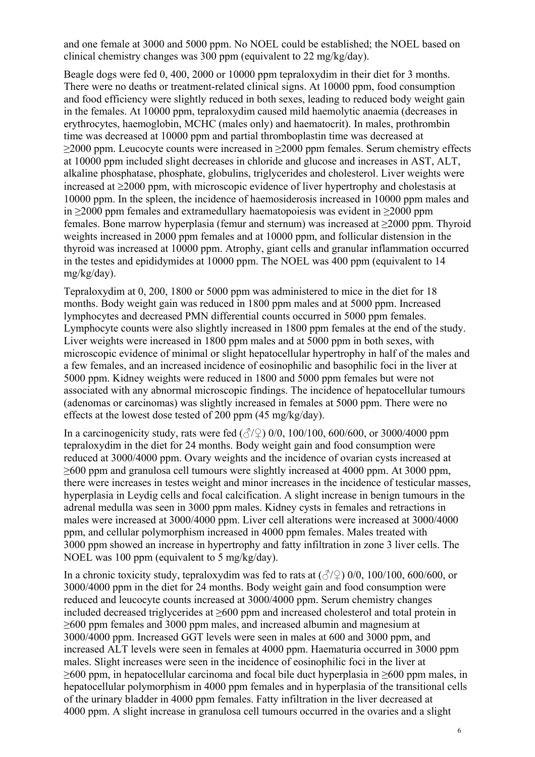and one female at 3000 and 5000 ppm. No NOEL could be established; the NOEL based on clinical chemistry changes was 300 ppm (equivalent to 22 mg/kg/day).

Beagle dogs were fed 0, 400, 2000 or 10000 ppm tepraloxydim in their diet for 3 months. There were no deaths or treatment-related clinical signs. At 10000 ppm, food consumption and food efficiency were slightly reduced in both sexes, leading to reduced body weight gain in the females. At 10000 ppm, tepraloxydim caused mild haemolytic anaemia (decreases in erythrocytes, haemoglobin, MCHC (males only) and haematocrit). In males, prothrombin time was decreased at 10000 ppm and partial thromboplastin time was decreased at ≥2000 ppm. Leucocyte counts were increased in ≥2000 ppm females. Serum chemistry effects at 10000 ppm included slight decreases in chloride and glucose and increases in AST, ALT, alkaline phosphatase, phosphate, globulins, triglycerides and cholesterol. Liver weights were increased at ≥2000 ppm, with microscopic evidence of liver hypertrophy and cholestasis at 10000 ppm. In the spleen, the incidence of haemosiderosis increased in 10000 ppm males and in ≥2000 ppm females and extramedullary haematopoiesis was evident in ≥2000 ppm females. Bone marrow hyperplasia (femur and sternum) was increased at ≥2000 ppm. Thyroid weights increased in 2000 ppm females and at 10000 ppm, and follicular distension in the thyroid was increased at 10000 ppm. Atrophy, giant cells and granular inflammation occurred in the testes and epididymides at 10000 ppm. The NOEL was 400 ppm (equivalent to 14 mg/kg/day).

Tepraloxydim at 0, 200, 1800 or 5000 ppm was administered to mice in the diet for 18 months. Body weight gain was reduced in 1800 ppm males and at 5000 ppm. Increased lymphocytes and decreased PMN differential counts occurred in 5000 ppm females. Lymphocyte counts were also slightly increased in 1800 ppm females at the end of the study. Liver weights were increased in 1800 ppm males and at 5000 ppm in both sexes, with microscopic evidence of minimal or slight hepatocellular hypertrophy in half of the males and a few females, and an increased incidence of eosinophilic and basophilic foci in the liver at 5000 ppm. Kidney weights were reduced in 1800 and 5000 ppm females but were not associated with any abnormal microscopic findings. The incidence of hepatocellular tumours (adenomas or carcinomas) was slightly increased in females at 5000 ppm. There were no effects at the lowest dose tested of 200 ppm (45 mg/kg/day).

In a carcinogenicity study, rats were fed  $(\sqrt{2})$  0/0, 100/100, 600/600, or 3000/4000 ppm tepraloxydim in the diet for 24 months. Body weight gain and food consumption were reduced at 3000/4000 ppm. Ovary weights and the incidence of ovarian cysts increased at ≥600 ppm and granulosa cell tumours were slightly increased at 4000 ppm. At 3000 ppm, there were increases in testes weight and minor increases in the incidence of testicular masses, hyperplasia in Leydig cells and focal calcification. A slight increase in benign tumours in the adrenal medulla was seen in 3000 ppm males. Kidney cysts in females and retractions in males were increased at 3000/4000 ppm. Liver cell alterations were increased at 3000/4000 ppm, and cellular polymorphism increased in 4000 ppm females. Males treated with 3000 ppm showed an increase in hypertrophy and fatty infiltration in zone 3 liver cells. The NOEL was 100 ppm (equivalent to 5 mg/kg/day).

In a chronic toxicity study, tepraloxydim was fed to rats at  $(\sqrt{2})$  0/0, 100/100, 600/600, or 3000/4000 ppm in the diet for 24 months. Body weight gain and food consumption were reduced and leucocyte counts increased at 3000/4000 ppm. Serum chemistry changes included decreased triglycerides at ≥600 ppm and increased cholesterol and total protein in ≥600 ppm females and 3000 ppm males, and increased albumin and magnesium at 3000/4000 ppm. Increased GGT levels were seen in males at 600 and 3000 ppm, and increased ALT levels were seen in females at 4000 ppm. Haematuria occurred in 3000 ppm males. Slight increases were seen in the incidence of eosinophilic foci in the liver at ≥600 ppm, in hepatocellular carcinoma and focal bile duct hyperplasia in ≥600 ppm males, in hepatocellular polymorphism in 4000 ppm females and in hyperplasia of the transitional cells of the urinary bladder in 4000 ppm females. Fatty infiltration in the liver decreased at 4000 ppm. A slight increase in granulosa cell tumours occurred in the ovaries and a slight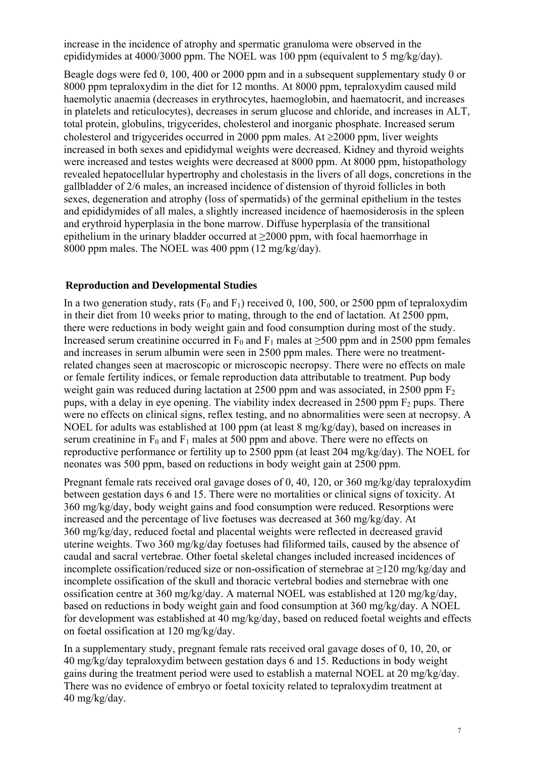increase in the incidence of atrophy and spermatic granuloma were observed in the epididymides at 4000/3000 ppm. The NOEL was 100 ppm (equivalent to 5 mg/kg/day).

Beagle dogs were fed 0, 100, 400 or 2000 ppm and in a subsequent supplementary study 0 or 8000 ppm tepraloxydim in the diet for 12 months. At 8000 ppm, tepraloxydim caused mild haemolytic anaemia (decreases in erythrocytes, haemoglobin, and haematocrit, and increases in platelets and reticulocytes), decreases in serum glucose and chloride, and increases in ALT, total protein, globulins, trigycerides, cholesterol and inorganic phosphate. Increased serum cholesterol and trigycerides occurred in 2000 ppm males. At  $\geq$ 2000 ppm, liver weights increased in both sexes and epididymal weights were decreased. Kidney and thyroid weights were increased and testes weights were decreased at 8000 ppm. At 8000 ppm, histopathology revealed hepatocellular hypertrophy and cholestasis in the livers of all dogs, concretions in the gallbladder of 2/6 males, an increased incidence of distension of thyroid follicles in both sexes, degeneration and atrophy (loss of spermatids) of the germinal epithelium in the testes and epididymides of all males, a slightly increased incidence of haemosiderosis in the spleen and erythroid hyperplasia in the bone marrow. Diffuse hyperplasia of the transitional epithelium in the urinary bladder occurred at  $\geq$ 2000 ppm, with focal haemorrhage in 8000 ppm males. The NOEL was 400 ppm (12 mg/kg/day).

## **Reproduction and Developmental Studies**

In a two generation study, rats  $(F_0$  and  $F_1)$  received 0, 100, 500, or 2500 ppm of tepraloxydim in their diet from 10 weeks prior to mating, through to the end of lactation. At 2500 ppm, there were reductions in body weight gain and food consumption during most of the study. Increased serum creatinine occurred in  $F_0$  and  $F_1$  males at  $\geq$ 500 ppm and in 2500 ppm females and increases in serum albumin were seen in 2500 ppm males. There were no treatmentrelated changes seen at macroscopic or microscopic necropsy. There were no effects on male or female fertility indices, or female reproduction data attributable to treatment. Pup body weight gain was reduced during lactation at 2500 ppm and was associated, in 2500 ppm  $F<sub>2</sub>$ pups, with a delay in eye opening. The viability index decreased in 2500 ppm  $F_2$  pups. There were no effects on clinical signs, reflex testing, and no abnormalities were seen at necropsy. A NOEL for adults was established at 100 ppm (at least 8 mg/kg/day), based on increases in serum creatinine in  $F_0$  and  $F_1$  males at 500 ppm and above. There were no effects on reproductive performance or fertility up to 2500 ppm (at least 204 mg/kg/day). The NOEL for neonates was 500 ppm, based on reductions in body weight gain at 2500 ppm.

Pregnant female rats received oral gavage doses of 0, 40, 120, or 360 mg/kg/day tepraloxydim between gestation days 6 and 15. There were no mortalities or clinical signs of toxicity. At 360 mg/kg/day, body weight gains and food consumption were reduced. Resorptions were increased and the percentage of live foetuses was decreased at 360 mg/kg/day. At 360 mg/kg/day, reduced foetal and placental weights were reflected in decreased gravid uterine weights. Two 360 mg/kg/day foetuses had filiformed tails, caused by the absence of caudal and sacral vertebrae. Other foetal skeletal changes included increased incidences of incomplete ossification/reduced size or non-ossification of sternebrae at ≥120 mg/kg/day and incomplete ossification of the skull and thoracic vertebral bodies and sternebrae with one ossification centre at 360 mg/kg/day. A maternal NOEL was established at 120 mg/kg/day, based on reductions in body weight gain and food consumption at 360 mg/kg/day. A NOEL for development was established at 40 mg/kg/day, based on reduced foetal weights and effects on foetal ossification at 120 mg/kg/day.

In a supplementary study, pregnant female rats received oral gavage doses of 0, 10, 20, or 40 mg/kg/day tepraloxydim between gestation days 6 and 15. Reductions in body weight gains during the treatment period were used to establish a maternal NOEL at 20 mg/kg/day. There was no evidence of embryo or foetal toxicity related to tepraloxydim treatment at 40 mg/kg/day.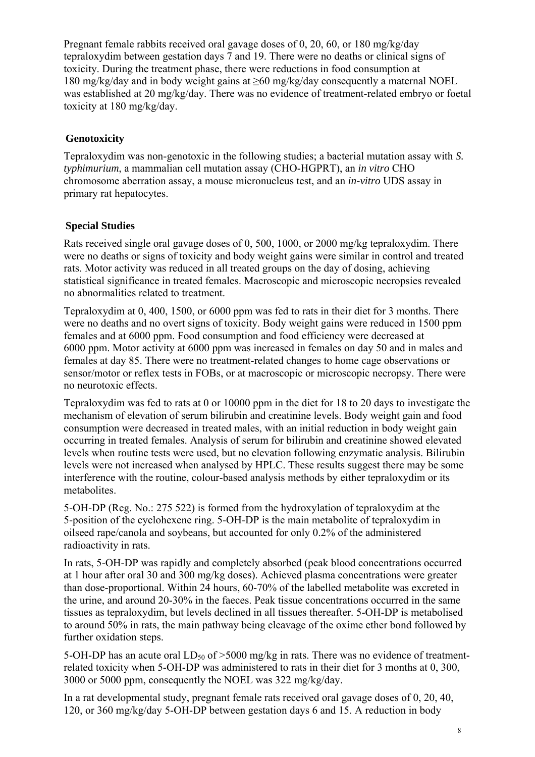Pregnant female rabbits received oral gavage doses of 0, 20, 60, or 180 mg/kg/day tepraloxydim between gestation days 7 and 19. There were no deaths or clinical signs of toxicity. During the treatment phase, there were reductions in food consumption at 180 mg/kg/day and in body weight gains at  $\geq 60$  mg/kg/day consequently a maternal NOEL was established at 20 mg/kg/day. There was no evidence of treatment-related embryo or foetal toxicity at 180 mg/kg/day.

# **Genotoxicity**

Tepraloxydim was non-genotoxic in the following studies; a bacterial mutation assay with *S. typhimurium*, a mammalian cell mutation assay (CHO-HGPRT), an *in vitro* CHO chromosome aberration assay, a mouse micronucleus test, and an *in-vitro* UDS assay in primary rat hepatocytes.

# **Special Studies**

Rats received single oral gavage doses of 0, 500, 1000, or 2000 mg/kg tepraloxydim. There were no deaths or signs of toxicity and body weight gains were similar in control and treated rats. Motor activity was reduced in all treated groups on the day of dosing, achieving statistical significance in treated females. Macroscopic and microscopic necropsies revealed no abnormalities related to treatment.

Tepraloxydim at 0, 400, 1500, or 6000 ppm was fed to rats in their diet for 3 months. There were no deaths and no overt signs of toxicity. Body weight gains were reduced in 1500 ppm females and at 6000 ppm. Food consumption and food efficiency were decreased at 6000 ppm. Motor activity at 6000 ppm was increased in females on day 50 and in males and females at day 85. There were no treatment-related changes to home cage observations or sensor/motor or reflex tests in FOBs, or at macroscopic or microscopic necropsy. There were no neurotoxic effects.

Tepraloxydim was fed to rats at 0 or 10000 ppm in the diet for 18 to 20 days to investigate the mechanism of elevation of serum bilirubin and creatinine levels. Body weight gain and food consumption were decreased in treated males, with an initial reduction in body weight gain occurring in treated females. Analysis of serum for bilirubin and creatinine showed elevated levels when routine tests were used, but no elevation following enzymatic analysis. Bilirubin levels were not increased when analysed by HPLC. These results suggest there may be some interference with the routine, colour-based analysis methods by either tepraloxydim or its metabolites.

5-OH-DP (Reg. No.: 275 522) is formed from the hydroxylation of tepraloxydim at the 5-position of the cyclohexene ring. 5-OH-DP is the main metabolite of tepraloxydim in oilseed rape/canola and soybeans, but accounted for only 0.2% of the administered radioactivity in rats.

In rats, 5-OH-DP was rapidly and completely absorbed (peak blood concentrations occurred at 1 hour after oral 30 and 300 mg/kg doses). Achieved plasma concentrations were greater than dose-proportional. Within 24 hours, 60-70% of the labelled metabolite was excreted in the urine, and around 20-30% in the faeces. Peak tissue concentrations occurred in the same tissues as tepraloxydim, but levels declined in all tissues thereafter. 5-OH-DP is metabolised to around 50% in rats, the main pathway being cleavage of the oxime ether bond followed by further oxidation steps.

5-OH-DP has an acute oral  $LD_{50}$  of  $>5000$  mg/kg in rats. There was no evidence of treatmentrelated toxicity when 5-OH-DP was administered to rats in their diet for 3 months at 0, 300, 3000 or 5000 ppm, consequently the NOEL was 322 mg/kg/day.

In a rat developmental study, pregnant female rats received oral gavage doses of 0, 20, 40, 120, or 360 mg/kg/day 5-OH-DP between gestation days 6 and 15. A reduction in body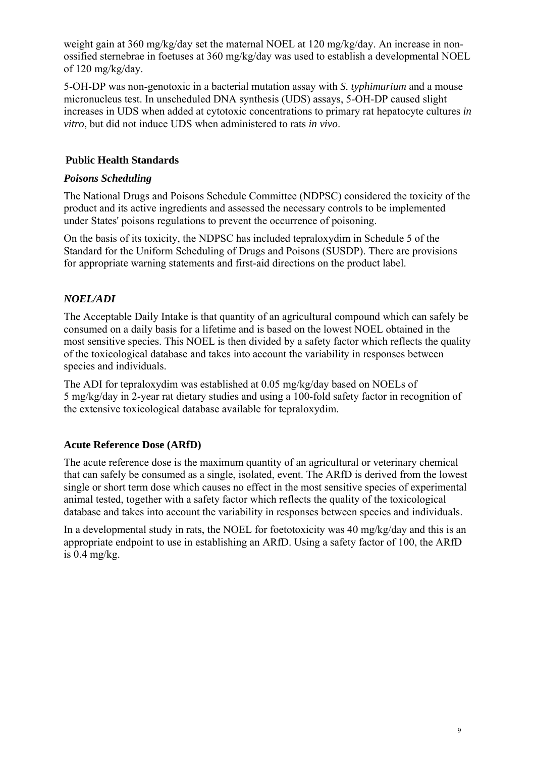weight gain at 360 mg/kg/day set the maternal NOEL at 120 mg/kg/day. An increase in nonossified sternebrae in foetuses at 360 mg/kg/day was used to establish a developmental NOEL of 120 mg/kg/day.

5-OH-DP was non-genotoxic in a bacterial mutation assay with *S. typhimurium* and a mouse micronucleus test. In unscheduled DNA synthesis (UDS) assays, 5-OH-DP caused slight increases in UDS when added at cytotoxic concentrations to primary rat hepatocyte cultures *in vitro*, but did not induce UDS when administered to rats *in vivo*.

## **Public Health Standards**

## *Poisons Scheduling*

The National Drugs and Poisons Schedule Committee (NDPSC) considered the toxicity of the product and its active ingredients and assessed the necessary controls to be implemented under States' poisons regulations to prevent the occurrence of poisoning.

On the basis of its toxicity, the NDPSC has included tepraloxydim in Schedule 5 of the Standard for the Uniform Scheduling of Drugs and Poisons (SUSDP). There are provisions for appropriate warning statements and first-aid directions on the product label.

## *NOEL/ADI*

The Acceptable Daily Intake is that quantity of an agricultural compound which can safely be consumed on a daily basis for a lifetime and is based on the lowest NOEL obtained in the most sensitive species. This NOEL is then divided by a safety factor which reflects the quality of the toxicological database and takes into account the variability in responses between species and individuals.

The ADI for tepraloxydim was established at 0.05 mg/kg/day based on NOELs of 5 mg/kg/day in 2-year rat dietary studies and using a 100-fold safety factor in recognition of the extensive toxicological database available for tepraloxydim.

## **Acute Reference Dose (ARfD)**

The acute reference dose is the maximum quantity of an agricultural or veterinary chemical that can safely be consumed as a single, isolated, event. The ARfD is derived from the lowest single or short term dose which causes no effect in the most sensitive species of experimental animal tested, together with a safety factor which reflects the quality of the toxicological database and takes into account the variability in responses between species and individuals.

In a developmental study in rats, the NOEL for foetotoxicity was 40 mg/kg/day and this is an appropriate endpoint to use in establishing an ARfD. Using a safety factor of 100, the ARfD is 0.4 mg/kg.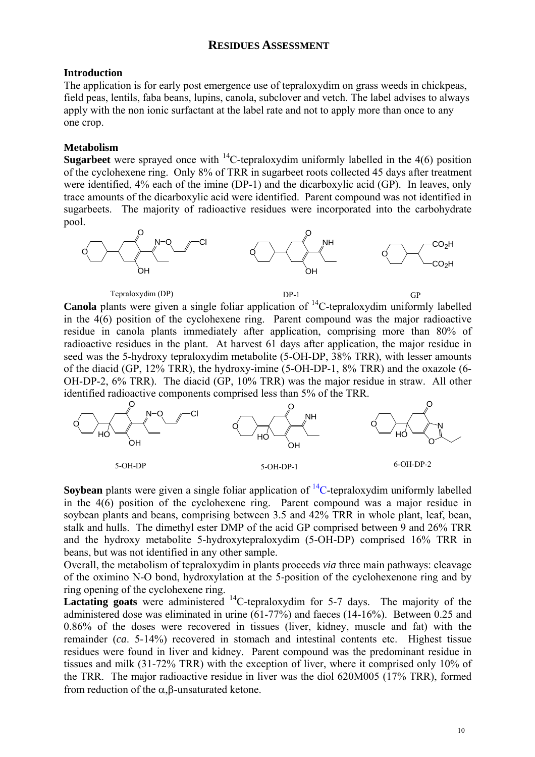## **RESIDUES ASSESSMENT**

#### **Introduction**

The application is for early post emergence use of tepraloxydim on grass weeds in chickpeas, field peas, lentils, faba beans, lupins, canola, subclover and vetch. The label advises to always apply with the non ionic surfactant at the label rate and not to apply more than once to any one crop.

#### **Metabolism**

**Sugarbeet** were sprayed once with <sup>14</sup>C-tepraloxydim uniformly labelled in the  $4(6)$  position of the cyclohexene ring. Only 8% of TRR in sugarbeet roots collected 45 days after treatment were identified, 4% each of the imine (DP-1) and the dicarboxylic acid (GP). In leaves, only trace amounts of the dicarboxylic acid were identified. Parent compound was not identified in sugarbeets. The majority of radioactive residues were incorporated into the carbohydrate pool.



Tepraloxydim (DP)

DP-1

GP

**Canola** plants were given a single foliar application of  $^{14}$ C-tepraloxydim uniformly labelled in the 4(6) position of the cyclohexene ring. Parent compound was the major radioactive residue in canola plants immediately after application, comprising more than 80% of radioactive residues in the plant. At harvest 61 days after application, the major residue in seed was the 5-hydroxy tepraloxydim metabolite (5-OH-DP, 38% TRR), with lesser amounts of the diacid (GP, 12% TRR), the hydroxy-imine (5-OH-DP-1, 8% TRR) and the oxazole (6- OH-DP-2, 6% TRR). The diacid (GP, 10% TRR) was the major residue in straw. All other identified radioactive components comprised less than 5% of the TRR.



**Soybean** plants were given a single foliar application of  ${}^{14}C$ -tepraloxydim uniformly labelled in the 4(6) position of the cyclohexene ring. Parent compound was a major residue in soybean plants and beans, comprising between 3.5 and 42% TRR in whole plant, leaf, bean, stalk and hulls. The dimethyl ester DMP of the acid GP comprised between 9 and 26% TRR and the hydroxy metabolite 5-hydroxytepraloxydim (5-OH-DP) comprised 16% TRR in beans, but was not identified in any other sample.

Overall, the metabolism of tepraloxydim in plants proceeds *via* three main pathways: cleavage of the oximino N-O bond, hydroxylation at the 5-position of the cyclohexenone ring and by ring opening of the cyclohexene ring.

Lactating goats were administered <sup>14</sup>C-tepraloxydim for 5-7 days. The majority of the administered dose was eliminated in urine (61-77%) and faeces (14-16%). Between 0.25 and 0.86% of the doses were recovered in tissues (liver, kidney, muscle and fat) with the remainder (*ca*. 5-14%) recovered in stomach and intestinal contents etc. Highest tissue residues were found in liver and kidney. Parent compound was the predominant residue in tissues and milk (31-72% TRR) with the exception of liver, where it comprised only 10% of the TRR. The major radioactive residue in liver was the diol 620M005 (17% TRR), formed from reduction of the  $\alpha$ .β-unsaturated ketone.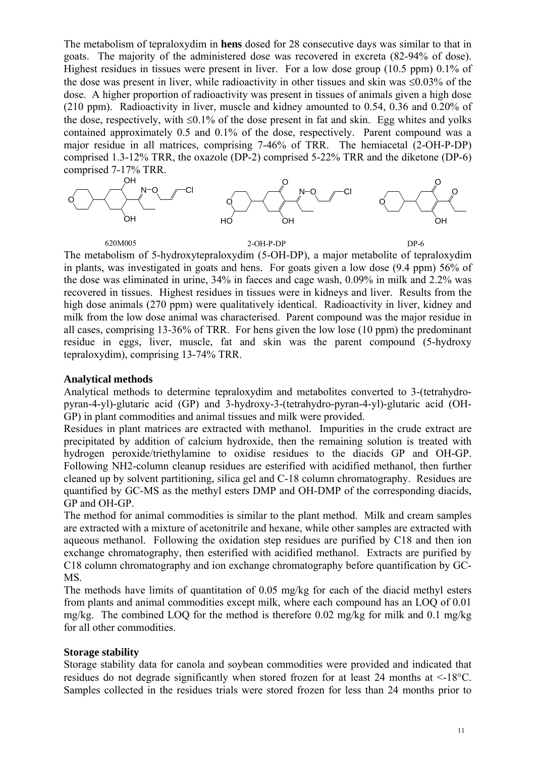The metabolism of tepraloxydim in **hens** dosed for 28 consecutive days was similar to that in goats. The majority of the administered dose was recovered in excreta (82-94% of dose). Highest residues in tissues were present in liver. For a low dose group (10.5 ppm) 0.1% of the dose was present in liver, while radioactivity in other tissues and skin was ≤0.03% of the dose. A higher proportion of radioactivity was present in tissues of animals given a high dose (210 ppm). Radioactivity in liver, muscle and kidney amounted to 0.54, 0.36 and 0.20% of the dose, respectively, with  $\leq 0.1\%$  of the dose present in fat and skin. Egg whites and yolks contained approximately 0.5 and 0.1% of the dose, respectively. Parent compound was a major residue in all matrices, comprising 7-46% of TRR. The hemiacetal (2-OH-P-DP) comprised 1.3-12% TRR, the oxazole (DP-2) comprised 5-22% TRR and the diketone (DP-6) comprised 7-17% TRR.



620M005 2-OH-P-DP DP-6 The metabolism of 5-hydroxytepraloxydim (5-OH-DP), a major metabolite of tepraloxydim in plants, was investigated in goats and hens. For goats given a low dose (9.4 ppm) 56% of the dose was eliminated in urine, 34% in faeces and cage wash, 0.09% in milk and 2.2% was recovered in tissues. Highest residues in tissues were in kidneys and liver. Results from the high dose animals (270 ppm) were qualitatively identical. Radioactivity in liver, kidney and milk from the low dose animal was characterised. Parent compound was the major residue in all cases, comprising 13-36% of TRR. For hens given the low lose (10 ppm) the predominant residue in eggs, liver, muscle, fat and skin was the parent compound (5-hydroxy tepraloxydim), comprising 13-74% TRR.

#### **Analytical methods**

Analytical methods to determine tepraloxydim and metabolites converted to 3-(tetrahydropyran-4-yl)-glutaric acid (GP) and 3-hydroxy-3-(tetrahydro-pyran-4-yl)-glutaric acid (OH-GP) in plant commodities and animal tissues and milk were provided.

Residues in plant matrices are extracted with methanol. Impurities in the crude extract are precipitated by addition of calcium hydroxide, then the remaining solution is treated with hydrogen peroxide/triethylamine to oxidise residues to the diacids GP and OH-GP. Following NH2-column cleanup residues are esterified with acidified methanol, then further cleaned up by solvent partitioning, silica gel and C-18 column chromatography. Residues are quantified by GC-MS as the methyl esters DMP and OH-DMP of the corresponding diacids, GP and OH-GP.

The method for animal commodities is similar to the plant method. Milk and cream samples are extracted with a mixture of acetonitrile and hexane, while other samples are extracted with aqueous methanol. Following the oxidation step residues are purified by C18 and then ion exchange chromatography, then esterified with acidified methanol. Extracts are purified by C18 column chromatography and ion exchange chromatography before quantification by GC-**MS** 

The methods have limits of quantitation of 0.05 mg/kg for each of the diacid methyl esters from plants and animal commodities except milk, where each compound has an LOQ of 0.01 mg/kg. The combined LOQ for the method is therefore 0.02 mg/kg for milk and 0.1 mg/kg for all other commodities.

#### **Storage stability**

Storage stability data for canola and soybean commodities were provided and indicated that residues do not degrade significantly when stored frozen for at least 24 months at <-18°C. Samples collected in the residues trials were stored frozen for less than 24 months prior to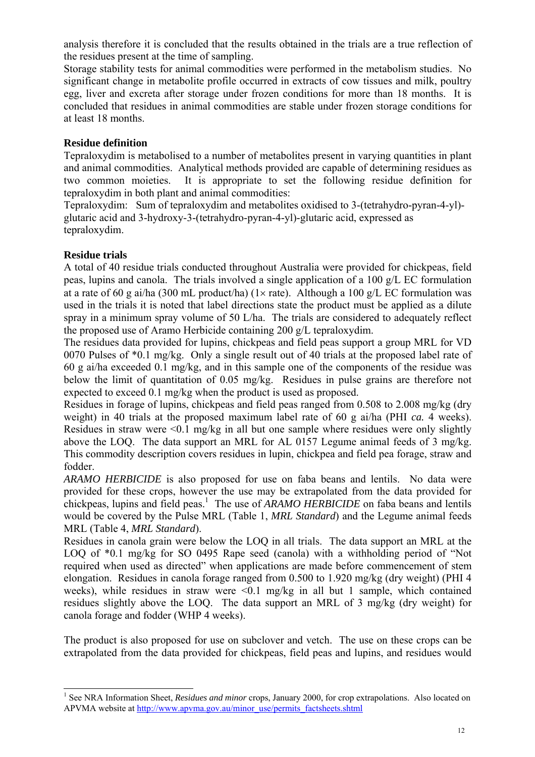analysis therefore it is concluded that the results obtained in the trials are a true reflection of the residues present at the time of sampling.

Storage stability tests for animal commodities were performed in the metabolism studies. No significant change in metabolite profile occurred in extracts of cow tissues and milk, poultry egg, liver and excreta after storage under frozen conditions for more than 18 months. It is concluded that residues in animal commodities are stable under frozen storage conditions for at least 18 months.

## **Residue definition**

Tepraloxydim is metabolised to a number of metabolites present in varying quantities in plant and animal commodities. Analytical methods provided are capable of determining residues as two common moieties. It is appropriate to set the following residue definition for tepraloxydim in both plant and animal commodities:

Tepraloxydim: Sum of tepraloxydim and metabolites oxidised to 3-(tetrahydro-pyran-4-yl) glutaric acid and 3-hydroxy-3-(tetrahydro-pyran-4-yl)-glutaric acid, expressed as tepraloxydim.

## **Residue trials**

 $\overline{a}$ 

A total of 40 residue trials conducted throughout Australia were provided for chickpeas, field peas, lupins and canola. The trials involved a single application of a 100 g/L EC formulation at a rate of 60 g ai/ha (300 mL product/ha) ( $1 \times$  rate). Although a 100 g/L EC formulation was used in the trials it is noted that label directions state the product must be applied as a dilute spray in a minimum spray volume of 50 L/ha. The trials are considered to adequately reflect the proposed use of Aramo Herbicide containing 200 g/L tepraloxydim.

The residues data provided for lupins, chickpeas and field peas support a group MRL for VD 0070 Pulses of \*0.1 mg/kg. Only a single result out of 40 trials at the proposed label rate of 60 g ai/ha exceeded 0.1 mg/kg, and in this sample one of the components of the residue was below the limit of quantitation of 0.05 mg/kg. Residues in pulse grains are therefore not expected to exceed 0.1 mg/kg when the product is used as proposed.

Residues in forage of lupins, chickpeas and field peas ranged from 0.508 to 2.008 mg/kg (dry weight) in 40 trials at the proposed maximum label rate of 60 g ai/ha (PHI *ca.* 4 weeks). Residues in straw were <0.1 mg/kg in all but one sample where residues were only slightly above the LOQ. The data support an MRL for AL 0157 Legume animal feeds of 3 mg/kg. This commodity description covers residues in lupin, chickpea and field pea forage, straw and fodder.

*ARAMO HERBICIDE* is also proposed for use on faba beans and lentils. No data were provided for these crops, however the use may be extrapolated from the data provided for chickpeas, lupins and field peas.<sup>1</sup> The use of *ARAMO HERBICIDE* on faba beans and lentils would be covered by the Pulse MRL (Table 1, *MRL Standard*) and the Legume animal feeds MRL (Table 4, *MRL Standard*).

Residues in canola grain were below the LOQ in all trials. The data support an MRL at the LOQ of  $*0.1$  mg/kg for SO 0495 Rape seed (canola) with a withholding period of "Not required when used as directed" when applications are made before commencement of stem elongation. Residues in canola forage ranged from 0.500 to 1.920 mg/kg (dry weight) (PHI 4 weeks), while residues in straw were  $\leq 0.1$  mg/kg in all but 1 sample, which contained residues slightly above the LOQ. The data support an MRL of 3 mg/kg (dry weight) for canola forage and fodder (WHP 4 weeks).

The product is also proposed for use on subclover and vetch. The use on these crops can be extrapolated from the data provided for chickpeas, field peas and lupins, and residues would

<span id="page-21-0"></span><sup>1</sup> See NRA Information Sheet, *Residues and minor* crops, January 2000, for crop extrapolations. Also located on APVMA website at [http://www.apvma.gov.au/minor\\_use/permits\\_factsheets.shtml](http://www.apvma.gov.au/minor_use/permits_factsheets.shtml)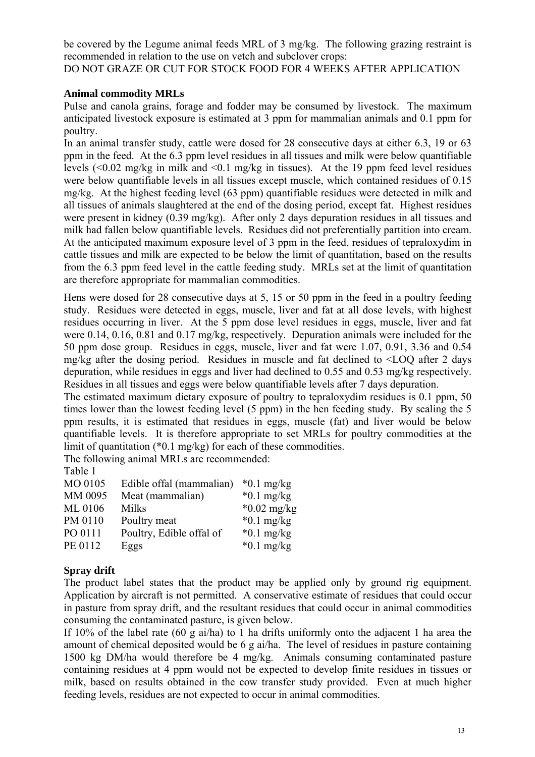be covered by the Legume animal feeds MRL of 3 mg/kg. The following grazing restraint is recommended in relation to the use on vetch and subclover crops: DO NOT GRAZE OR CUT FOR STOCK FOOD FOR 4 WEEKS AFTER APPLICATION

## **Animal commodity MRLs**

Pulse and canola grains, forage and fodder may be consumed by livestock. The maximum anticipated livestock exposure is estimated at 3 ppm for mammalian animals and 0.1 ppm for poultry.

In an animal transfer study, cattle were dosed for 28 consecutive days at either 6.3, 19 or 63 ppm in the feed. At the 6.3 ppm level residues in all tissues and milk were below quantifiable levels (<0.02 mg/kg in milk and <0.1 mg/kg in tissues). At the 19 ppm feed level residues were below quantifiable levels in all tissues except muscle, which contained residues of 0.15 mg/kg. At the highest feeding level (63 ppm) quantifiable residues were detected in milk and all tissues of animals slaughtered at the end of the dosing period, except fat. Highest residues were present in kidney (0.39 mg/kg). After only 2 days depuration residues in all tissues and milk had fallen below quantifiable levels. Residues did not preferentially partition into cream. At the anticipated maximum exposure level of 3 ppm in the feed, residues of tepraloxydim in cattle tissues and milk are expected to be below the limit of quantitation, based on the results from the 6.3 ppm feed level in the cattle feeding study. MRLs set at the limit of quantitation are therefore appropriate for mammalian commodities.

Hens were dosed for 28 consecutive days at 5, 15 or 50 ppm in the feed in a poultry feeding study. Residues were detected in eggs, muscle, liver and fat at all dose levels, with highest residues occurring in liver. At the 5 ppm dose level residues in eggs, muscle, liver and fat were 0.14, 0.16, 0.81 and 0.17 mg/kg, respectively. Depuration animals were included for the 50 ppm dose group. Residues in eggs, muscle, liver and fat were 1.07, 0.91, 3.36 and 0.54 mg/kg after the dosing period. Residues in muscle and fat declined to <LOQ after 2 days depuration, while residues in eggs and liver had declined to 0.55 and 0.53 mg/kg respectively. Residues in all tissues and eggs were below quantifiable levels after 7 days depuration.

The estimated maximum dietary exposure of poultry to tepraloxydim residues is 0.1 ppm, 50 times lower than the lowest feeding level (5 ppm) in the hen feeding study. By scaling the 5 ppm results, it is estimated that residues in eggs, muscle (fat) and liver would be below quantifiable levels. It is therefore appropriate to set MRLs for poultry commodities at the limit of quantitation (\*0.1 mg/kg) for each of these commodities.

The following animal MRLs are recommended:

Table 1

| MO 0105 | Edible offal (mammalian) | $*0.1$ mg/kg  |
|---------|--------------------------|---------------|
| MM 0095 | Meat (mammalian)         | $*0.1$ mg/kg  |
| ML 0106 | <b>Milks</b>             | $*0.02$ mg/kg |
| PM 0110 | Poultry meat             | $*0.1$ mg/kg  |
| PO 0111 | Poultry, Edible offal of | $*0.1$ mg/kg  |
| PE 0112 | Eggs                     | $*0.1$ mg/kg  |

## **Spray drift**

The product label states that the product may be applied only by ground rig equipment. Application by aircraft is not permitted. A conservative estimate of residues that could occur in pasture from spray drift, and the resultant residues that could occur in animal commodities consuming the contaminated pasture, is given below.

If 10% of the label rate (60 g ai/ha) to 1 ha drifts uniformly onto the adjacent 1 ha area the amount of chemical deposited would be 6 g ai/ha. The level of residues in pasture containing 1500 kg DM/ha would therefore be 4 mg/kg. Animals consuming contaminated pasture containing residues at 4 ppm would not be expected to develop finite residues in tissues or milk, based on results obtained in the cow transfer study provided. Even at much higher feeding levels, residues are not expected to occur in animal commodities.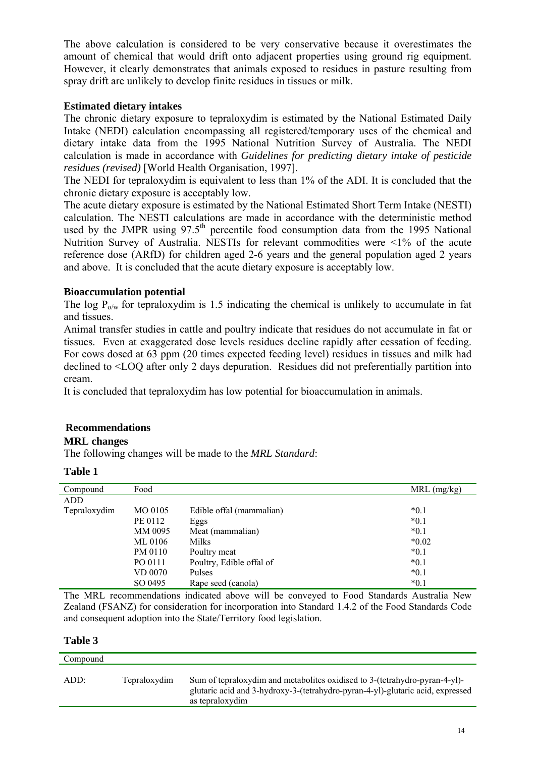The above calculation is considered to be very conservative because it overestimates the amount of chemical that would drift onto adjacent properties using ground rig equipment. However, it clearly demonstrates that animals exposed to residues in pasture resulting from spray drift are unlikely to develop finite residues in tissues or milk.

## **Estimated dietary intakes**

The chronic dietary exposure to tepraloxydim is estimated by the National Estimated Daily Intake (NEDI) calculation encompassing all registered/temporary uses of the chemical and dietary intake data from the 1995 National Nutrition Survey of Australia. The NEDI calculation is made in accordance with *Guidelines for predicting dietary intake of pesticide residues (revised)* [World Health Organisation, 1997].

The NEDI for tepraloxydim is equivalent to less than 1% of the ADI. It is concluded that the chronic dietary exposure is acceptably low.

The acute dietary exposure is estimated by the National Estimated Short Term Intake (NESTI) calculation. The NESTI calculations are made in accordance with the deterministic method used by the JMPR using 97.5<sup>th</sup> percentile food consumption data from the 1995 National Nutrition Survey of Australia. NESTIs for relevant commodities were <1% of the acute reference dose (ARfD) for children aged 2-6 years and the general population aged 2 years and above. It is concluded that the acute dietary exposure is acceptably low.

## **Bioaccumulation potential**

The log  $P_{\text{o/w}}$  for tepraloxydim is 1.5 indicating the chemical is unlikely to accumulate in fat and tissues.

Animal transfer studies in cattle and poultry indicate that residues do not accumulate in fat or tissues. Even at exaggerated dose levels residues decline rapidly after cessation of feeding. For cows dosed at 63 ppm (20 times expected feeding level) residues in tissues and milk had declined to <LOQ after only 2 days depuration. Residues did not preferentially partition into cream.

It is concluded that tepraloxydim has low potential for bioaccumulation in animals.

## **Recommendations**

#### **MRL changes**

The following changes will be made to the *MRL Standard*:

#### **Table 1**

| Compound     | Food    |                          | $MRL$ (mg/kg) |
|--------------|---------|--------------------------|---------------|
| ADD          |         |                          |               |
| Tepraloxydim | MO 0105 | Edible offal (mammalian) | $*0.1$        |
|              | PE 0112 | Eggs                     | $*0.1$        |
|              | MM 0095 | Meat (mammalian)         | $*0.1$        |
|              | ML 0106 | Milks                    | $*0.02$       |
|              | PM 0110 | Poultry meat             | $*0.1$        |
|              | PO 0111 | Poultry, Edible offal of | $*0.1$        |
|              | VD 0070 | Pulses                   | $*0.1$        |
|              | SO 0495 | Rape seed (canola)       | $*0.1$        |

The MRL recommendations indicated above will be conveyed to Food Standards Australia New Zealand (FSANZ) for consideration for incorporation into Standard 1.4.2 of the Food Standards Code and consequent adoption into the State/Territory food legislation.

#### **Table 3**

| Compound |              |                                                                                                                                                                                 |
|----------|--------------|---------------------------------------------------------------------------------------------------------------------------------------------------------------------------------|
| ADD:     | Tepraloxydim | Sum of tepraloxydim and metabolites oxidised to 3-(tetrahydro-pyran-4-yl)-<br>glutaric acid and 3-hydroxy-3-(tetrahydro-pyran-4-yl)-glutaric acid, expressed<br>as tepraloxydim |
|          |              |                                                                                                                                                                                 |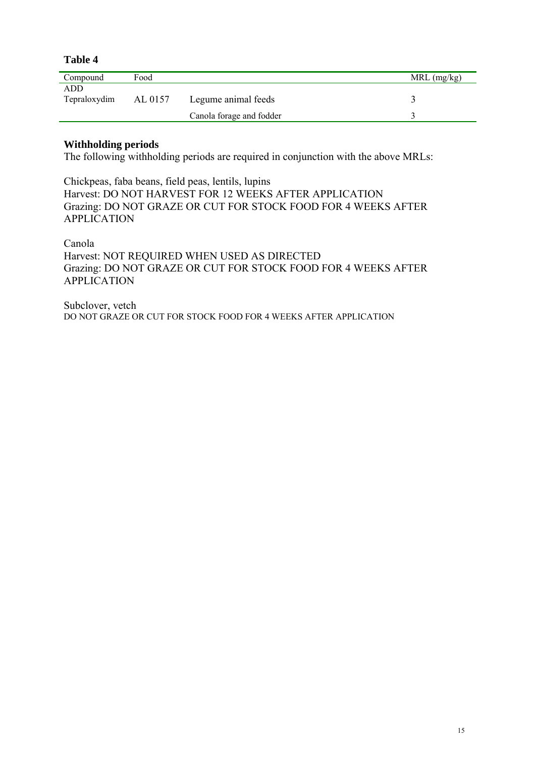#### **Table 4**

| Compound     | Food    |                          | $MRL$ (mg/kg) |
|--------------|---------|--------------------------|---------------|
| <b>ADD</b>   |         |                          |               |
| Tepraloxydim | AL 0157 | Legume animal feeds      |               |
|              |         | Canola forage and fodder |               |

## **Withholding periods**

The following withholding periods are required in conjunction with the above MRLs:

Chickpeas, faba beans, field peas, lentils, lupins Harvest: DO NOT HARVEST FOR 12 WEEKS AFTER APPLICATION Grazing: DO NOT GRAZE OR CUT FOR STOCK FOOD FOR 4 WEEKS AFTER APPLICATION

Canola Harvest: NOT REQUIRED WHEN USED AS DIRECTED Grazing: DO NOT GRAZE OR CUT FOR STOCK FOOD FOR 4 WEEKS AFTER APPLICATION

Subclover, vetch DO NOT GRAZE OR CUT FOR STOCK FOOD FOR 4 WEEKS AFTER APPLICATION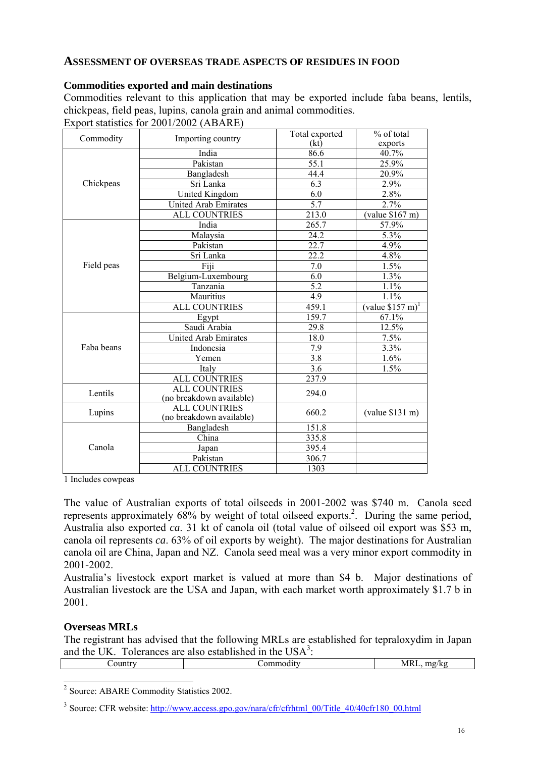#### **ASSESSMENT OF OVERSEAS TRADE ASPECTS OF RESIDUES IN FOOD**

#### **Commodities exported and main destinations**

Commodities relevant to this application that may be exported include faba beans, lentils, chickpeas, field peas, lupins, canola grain and animal commodities.

| Commodity  | Importing country           | Total exported<br>(kt) | % of total<br>exports                                    |
|------------|-----------------------------|------------------------|----------------------------------------------------------|
|            | India                       | 86.6                   | 40.7%                                                    |
|            | Pakistan                    | 55.1                   | 25.9%                                                    |
|            | Bangladesh                  | 44.4                   | 20.9%                                                    |
| Chickpeas  | Sri Lanka                   | 6.3                    | 2.9%                                                     |
|            | <b>United Kingdom</b>       | $\overline{6.0}$       | 2.8%                                                     |
|            | <b>United Arab Emirates</b> | 5.7                    | 2.7%                                                     |
|            | <b>ALL COUNTRIES</b>        | 213.0                  | (value \$167 m)                                          |
|            | India                       | 265.7                  | 57.9%                                                    |
|            | Malaysia                    | $\overline{24.2}$      | 5.3%                                                     |
|            | Pakistan                    | $\overline{22.7}$      | 4.9%                                                     |
|            | Sri Lanka                   | 22.2                   | 4.8%                                                     |
| Field peas | Fiji                        | 7.0                    | 1.5%                                                     |
|            | Belgium-Luxembourg          | 6.0                    | 1.3%                                                     |
|            | Tanzania                    | $\overline{5.2}$       | 1.1%                                                     |
|            | Mauritius                   | 4.9                    | 1.1%                                                     |
|            | <b>ALL COUNTRIES</b>        | 459.1                  | $\left(\text{value } $157 \text{ m}\right)$ <sup>T</sup> |
|            | Egypt                       | 159.7                  | 67.1%                                                    |
|            | Saudi Arabia                | 29.8                   | 12.5%                                                    |
|            | <b>United Arab Emirates</b> | 18.0                   | 7.5%                                                     |
| Faba beans | Indonesia                   | 7.9                    | 3.3%                                                     |
|            | Yemen                       | 3.8                    | 1.6%                                                     |
|            | Italy                       | $\overline{3.6}$       | 1.5%                                                     |
|            | <b>ALL COUNTRIES</b>        | 237.9                  |                                                          |
| Lentils    | <b>ALL COUNTRIES</b>        | 294.0                  |                                                          |
|            | (no breakdown available)    |                        |                                                          |
| Lupins     | <b>ALL COUNTRIES</b>        | 660.2                  | (value \$131 m)                                          |
|            | (no breakdown available)    |                        |                                                          |
|            | Bangladesh                  | 151.8                  |                                                          |
|            | China                       | 335.8                  |                                                          |
| Canola     | Japan                       | 395.4                  |                                                          |
|            | Pakistan                    | 306.7                  |                                                          |
|            | <b>ALL COUNTRIES</b>        | 1303                   |                                                          |

Export statistics for 2001/2002 (ABARE)

1 Includes cowpeas

The value of Australian exports of total oilseeds in 2001-2002 was \$740 m. Canola seed represents approximately  $68\%$  by weight of total oilseed exports.<sup>[2](#page-25-0)</sup>. During the same period, Australia also exported *ca*. 31 kt of canola oil (total value of oilseed oil export was \$53 m, canola oil represents *ca*. 63% of oil exports by weight). The major destinations for Australian canola oil are China, Japan and NZ. Canola seed meal was a very minor export commodity in 2001-2002.

Australia's livestock export market is valued at more than \$4 b. Major destinations of Australian livestock are the USA and Japan, with each market worth approximately \$1.7 b in 2001.

## **Overseas MRLs**

The registrant has advised that the following MRLs are established for tepraloxydim in Japan and the UK. Tolerances are also established in the USA<sup>[3](#page-25-1)</sup>:

| .111r<br>. . | ٦r<br>---<br>_______ | MR<br>mg/kg<br>ww |
|--------------|----------------------|-------------------|
|              |                      |                   |

<span id="page-25-0"></span><sup>&</sup>lt;sup>2</sup> Source: ABARE Commodity Statistics 2002.

<span id="page-25-1"></span><sup>&</sup>lt;sup>3</sup> Source: CFR website: [http://www.access.gpo.gov/nara/cfr/cfrhtml\\_00/Title\\_40/40cfr180\\_00.html](http://www.access.gpo.gov/nara/cfr/cfrhtml_00/Title_40/40cfr180_00.html)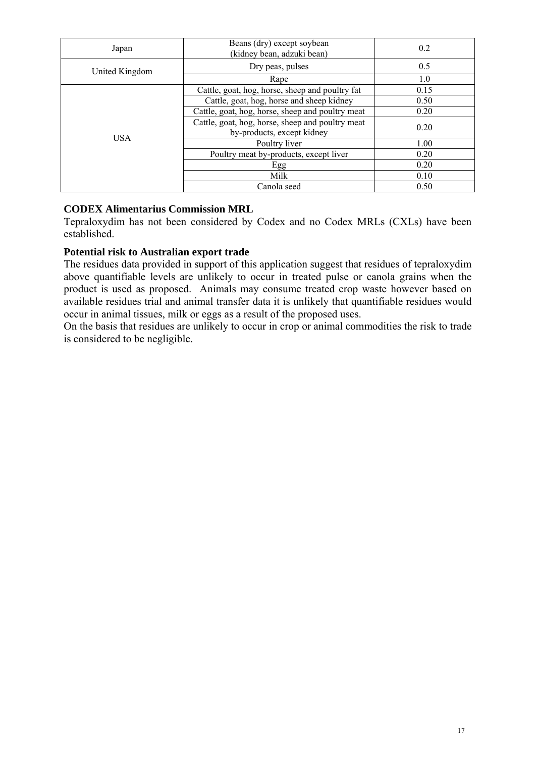| Japan          | Beans (dry) except soybean<br>(kidney bean, adzuki bean)                       | 0.2  |
|----------------|--------------------------------------------------------------------------------|------|
| United Kingdom | Dry peas, pulses                                                               | 0.5  |
|                | Rape                                                                           | 1.0  |
|                | Cattle, goat, hog, horse, sheep and poultry fat                                | 0.15 |
|                | Cattle, goat, hog, horse and sheep kidney                                      | 0.50 |
|                | Cattle, goat, hog, horse, sheep and poultry meat                               | 0.20 |
| <b>USA</b>     | Cattle, goat, hog, horse, sheep and poultry meat<br>by-products, except kidney | 0.20 |
|                | Poultry liver                                                                  | 1.00 |
|                | Poultry meat by-products, except liver                                         | 0.20 |
|                | Egg                                                                            | 0.20 |
|                | Milk                                                                           | 0.10 |
|                | Canola seed                                                                    | 0.50 |

## **CODEX Alimentarius Commission MRL**

Tepraloxydim has not been considered by Codex and no Codex MRLs (CXLs) have been established.

## **Potential risk to Australian export trade**

The residues data provided in support of this application suggest that residues of tepraloxydim above quantifiable levels are unlikely to occur in treated pulse or canola grains when the product is used as proposed. Animals may consume treated crop waste however based on available residues trial and animal transfer data it is unlikely that quantifiable residues would occur in animal tissues, milk or eggs as a result of the proposed uses.

On the basis that residues are unlikely to occur in crop or animal commodities the risk to trade is considered to be negligible.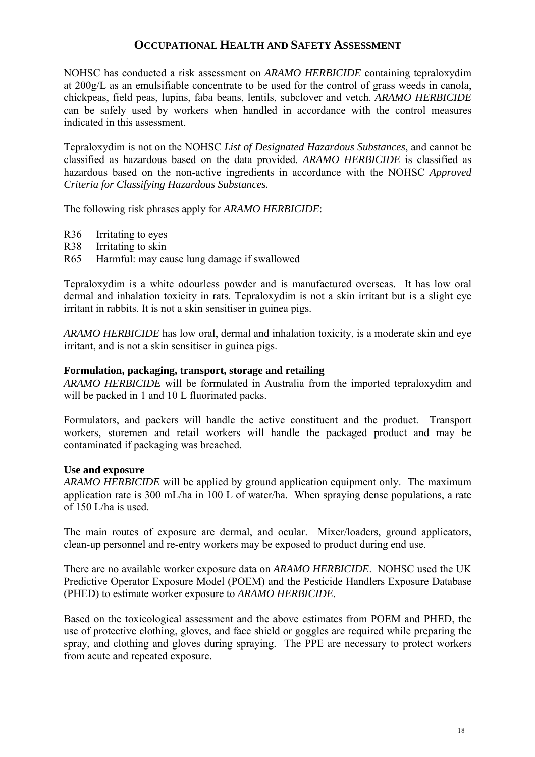# **OCCUPATIONAL HEALTH AND SAFETY ASSESSMENT**

NOHSC has conducted a risk assessment on *ARAMO HERBICIDE* containing tepraloxydim at 200g/L as an emulsifiable concentrate to be used for the control of grass weeds in canola, chickpeas, field peas, lupins, faba beans, lentils, subclover and vetch. *ARAMO HERBICIDE* can be safely used by workers when handled in accordance with the control measures indicated in this assessment.

Tepraloxydim is not on the NOHSC *List of Designated Hazardous Substances*, and cannot be classified as hazardous based on the data provided. *ARAMO HERBICIDE* is classified as hazardous based on the non-active ingredients in accordance with the NOHSC *Approved Criteria for Classifying Hazardous Substances.*

The following risk phrases apply for *ARAMO HERBICIDE*:

- R36 Irritating to eyes
- R38 Irritating to skin
- R65 Harmful: may cause lung damage if swallowed

Tepraloxydim is a white odourless powder and is manufactured overseas. It has low oral dermal and inhalation toxicity in rats. Tepraloxydim is not a skin irritant but is a slight eye irritant in rabbits. It is not a skin sensitiser in guinea pigs.

*ARAMO HERBICIDE* has low oral, dermal and inhalation toxicity, is a moderate skin and eye irritant, and is not a skin sensitiser in guinea pigs.

## **Formulation, packaging, transport, storage and retailing**

*ARAMO HERBICIDE* will be formulated in Australia from the imported tepraloxydim and will be packed in 1 and 10 L fluorinated packs.

Formulators, and packers will handle the active constituent and the product. Transport workers, storemen and retail workers will handle the packaged product and may be contaminated if packaging was breached.

#### **Use and exposure**

*ARAMO HERBICIDE* will be applied by ground application equipment only. The maximum application rate is 300 mL/ha in 100 L of water/ha. When spraying dense populations, a rate of 150 L/ha is used.

The main routes of exposure are dermal, and ocular. Mixer/loaders, ground applicators, clean-up personnel and re-entry workers may be exposed to product during end use.

There are no available worker exposure data on *ARAMO HERBICIDE*. NOHSC used the UK Predictive Operator Exposure Model (POEM) and the Pesticide Handlers Exposure Database (PHED) to estimate worker exposure to *ARAMO HERBICIDE*.

Based on the toxicological assessment and the above estimates from POEM and PHED, the use of protective clothing, gloves, and face shield or goggles are required while preparing the spray, and clothing and gloves during spraying. The PPE are necessary to protect workers from acute and repeated exposure.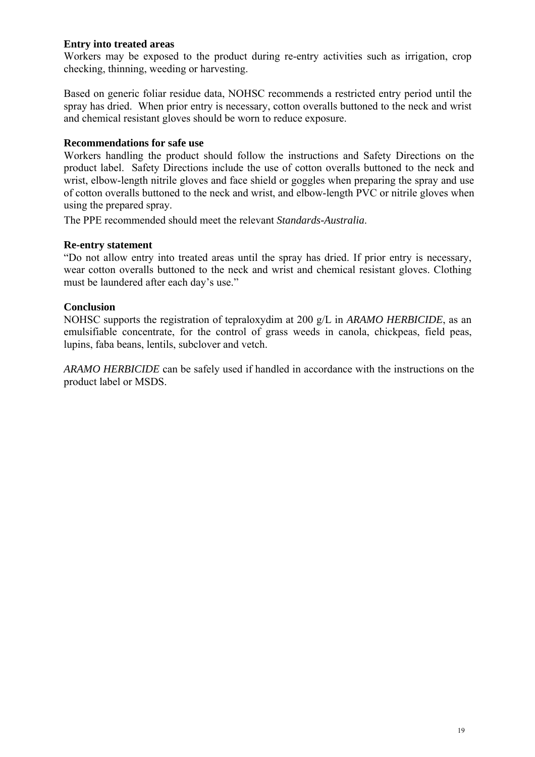## **Entry into treated areas**

Workers may be exposed to the product during re-entry activities such as irrigation, crop checking, thinning, weeding or harvesting.

Based on generic foliar residue data, NOHSC recommends a restricted entry period until the spray has dried. When prior entry is necessary, cotton overalls buttoned to the neck and wrist and chemical resistant gloves should be worn to reduce exposure.

## **Recommendations for safe use**

Workers handling the product should follow the instructions and Safety Directions on the product label. Safety Directions include the use of cotton overalls buttoned to the neck and wrist, elbow-length nitrile gloves and face shield or goggles when preparing the spray and use of cotton overalls buttoned to the neck and wrist, and elbow-length PVC or nitrile gloves when using the prepared spray.

The PPE recommended should meet the relevant *Standards-Australia*.

## **Re-entry statement**

"Do not allow entry into treated areas until the spray has dried. If prior entry is necessary, wear cotton overalls buttoned to the neck and wrist and chemical resistant gloves. Clothing must be laundered after each day's use."

## **Conclusion**

NOHSC supports the registration of tepraloxydim at 200 g/L in *ARAMO HERBICIDE*, as an emulsifiable concentrate, for the control of grass weeds in canola, chickpeas, field peas, lupins, faba beans, lentils, subclover and vetch.

*ARAMO HERBICIDE* can be safely used if handled in accordance with the instructions on the product label or MSDS.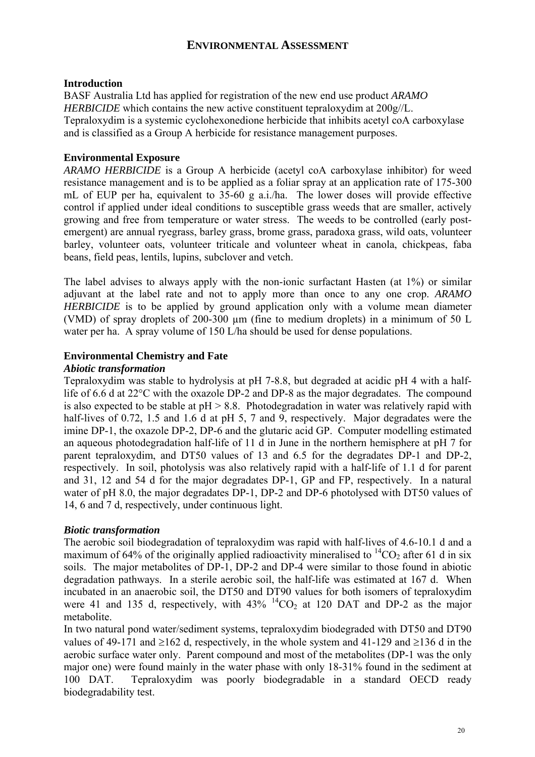## **ENVIRONMENTAL ASSESSMENT**

#### **Introduction**

BASF Australia Ltd has applied for registration of the new end use product *ARAMO HERBICIDE* which contains the new active constituent tepraloxydim at 200g/*/L*. Tepraloxydim is a systemic cyclohexonedione herbicide that inhibits acetyl coA carboxylase and is classified as a Group A herbicide for resistance management purposes.

#### **Environmental Exposure**

*ARAMO HERBICIDE* is a Group A herbicide (acetyl coA carboxylase inhibitor) for weed resistance management and is to be applied as a foliar spray at an application rate of 175-300 mL of EUP per ha, equivalent to 35-60 g a.i./ha. The lower doses will provide effective control if applied under ideal conditions to susceptible grass weeds that are smaller, actively growing and free from temperature or water stress. The weeds to be controlled (early postemergent) are annual ryegrass, barley grass, brome grass, paradoxa grass, wild oats, volunteer barley, volunteer oats, volunteer triticale and volunteer wheat in canola, chickpeas, faba beans, field peas, lentils, lupins, subclover and vetch.

The label advises to always apply with the non-ionic surfactant Hasten (at 1%) or similar adjuvant at the label rate and not to apply more than once to any one crop. *ARAMO HERBICIDE* is to be applied by ground application only with a volume mean diameter (VMD) of spray droplets of 200-300 µm (fine to medium droplets) in a minimum of 50 L water per ha. A spray volume of 150 L/ha should be used for dense populations.

#### **Environmental Chemistry and Fate**

#### *Abiotic transformation*

Tepraloxydim was stable to hydrolysis at pH 7-8.8, but degraded at acidic pH 4 with a halflife of 6.6 d at 22°C with the oxazole DP-2 and DP-8 as the major degradates. The compound is also expected to be stable at  $pH > 8.8$ . Photodegradation in water was relatively rapid with half-lives of 0.72, 1.5 and 1.6 d at pH 5, 7 and 9, respectively. Major degradates were the imine DP-1, the oxazole DP-2, DP-6 and the glutaric acid GP. Computer modelling estimated an aqueous photodegradation half-life of 11 d in June in the northern hemisphere at pH 7 for parent tepraloxydim, and DT50 values of 13 and 6.5 for the degradates DP-1 and DP-2, respectively. In soil, photolysis was also relatively rapid with a half-life of 1.1 d for parent and 31, 12 and 54 d for the major degradates DP-1, GP and FP, respectively. In a natural water of pH 8.0, the major degradates DP-1, DP-2 and DP-6 photolysed with DT50 values of 14, 6 and 7 d, respectively, under continuous light.

#### *Biotic transformation*

The aerobic soil biodegradation of tepraloxydim was rapid with half-lives of 4.6-10.1 d and a maximum of 64% of the originally applied radioactivity mineralised to  ${}^{14}CO_2$  after 61 d in six soils. The major metabolites of DP-1, DP-2 and DP-4 were similar to those found in abiotic degradation pathways. In a sterile aerobic soil, the half-life was estimated at 167 d. When incubated in an anaerobic soil, the DT50 and DT90 values for both isomers of tepraloxydim were 41 and 135 d, respectively, with  $43\%$   $^{14}CO_2$  at 120 DAT and DP-2 as the major metabolite.

In two natural pond water/sediment systems, tepraloxydim biodegraded with DT50 and DT90 values of 49-171 and ≥162 d, respectively, in the whole system and 41-129 and ≥136 d in the aerobic surface water only. Parent compound and most of the metabolites (DP-1 was the only major one) were found mainly in the water phase with only 18-31% found in the sediment at 100 DAT. Tepraloxydim was poorly biodegradable in a standard OECD ready biodegradability test.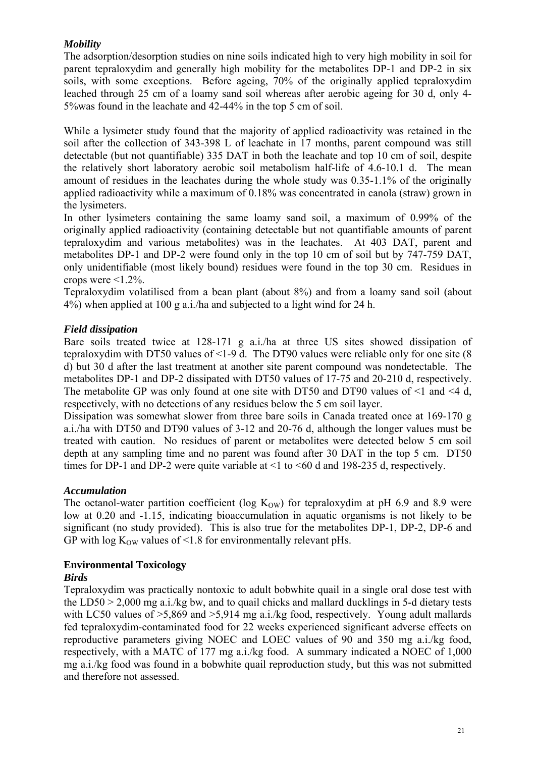## *Mobility*

The adsorption/desorption studies on nine soils indicated high to very high mobility in soil for parent tepraloxydim and generally high mobility for the metabolites DP-1 and DP-2 in six soils, with some exceptions. Before ageing, 70% of the originally applied tepraloxydim leached through 25 cm of a loamy sand soil whereas after aerobic ageing for 30 d, only 4- 5%was found in the leachate and 42-44% in the top 5 cm of soil.

While a lysimeter study found that the majority of applied radioactivity was retained in the soil after the collection of 343-398 L of leachate in 17 months, parent compound was still detectable (but not quantifiable) 335 DAT in both the leachate and top 10 cm of soil, despite the relatively short laboratory aerobic soil metabolism half-life of 4.6-10.1 d. The mean amount of residues in the leachates during the whole study was 0.35-1.1% of the originally applied radioactivity while a maximum of 0.18% was concentrated in canola (straw) grown in the lysimeters.

In other lysimeters containing the same loamy sand soil, a maximum of 0.99% of the originally applied radioactivity (containing detectable but not quantifiable amounts of parent tepraloxydim and various metabolites) was in the leachates. At 403 DAT, parent and metabolites DP-1 and DP-2 were found only in the top 10 cm of soil but by 747-759 DAT, only unidentifiable (most likely bound) residues were found in the top 30 cm. Residues in crops were  $\leq 1.2\%$ .

Tepraloxydim volatilised from a bean plant (about 8%) and from a loamy sand soil (about 4%) when applied at 100 g a.i./ha and subjected to a light wind for 24 h.

## *Field dissipation*

Bare soils treated twice at 128-171 g a.i./ha at three US sites showed dissipation of tepraloxydim with DT50 values of <1-9 d. The DT90 values were reliable only for one site (8 d) but 30 d after the last treatment at another site parent compound was nondetectable. The metabolites DP-1 and DP-2 dissipated with DT50 values of 17-75 and 20-210 d, respectively. The metabolite GP was only found at one site with DT50 and DT90 values of  $\leq 1$  and  $\leq 4$  d. respectively, with no detections of any residues below the 5 cm soil layer.

Dissipation was somewhat slower from three bare soils in Canada treated once at 169-170 g a.i./ha with DT50 and DT90 values of 3-12 and 20-76 d, although the longer values must be treated with caution. No residues of parent or metabolites were detected below 5 cm soil depth at any sampling time and no parent was found after 30 DAT in the top 5 cm. DT50 times for DP-1 and DP-2 were quite variable at  $\leq$ 1 to  $\leq$ 60 d and 198-235 d, respectively.

## *Accumulation*

The octanol-water partition coefficient (log  $K_{OW}$ ) for tepraloxydim at pH 6.9 and 8.9 were low at 0.20 and -1.15, indicating bioaccumulation in aquatic organisms is not likely to be significant (no study provided). This is also true for the metabolites DP-1, DP-2, DP-6 and GP with log  $K<sub>OW</sub>$  values of <1.8 for environmentally relevant pHs.

#### **Environmental Toxicology**  *Birds*

Tepraloxydim was practically nontoxic to adult bobwhite quail in a single oral dose test with the LD50 > 2,000 mg a.i./kg bw, and to quail chicks and mallard ducklings in 5-d dietary tests with LC50 values of  $>5,869$  and  $>5,914$  mg a.i./kg food, respectively. Young adult mallards fed tepraloxydim-contaminated food for 22 weeks experienced significant adverse effects on reproductive parameters giving NOEC and LOEC values of 90 and 350 mg a.i./kg food, respectively, with a MATC of 177 mg a.i./kg food. A summary indicated a NOEC of 1,000 mg a.i./kg food was found in a bobwhite quail reproduction study, but this was not submitted and therefore not assessed.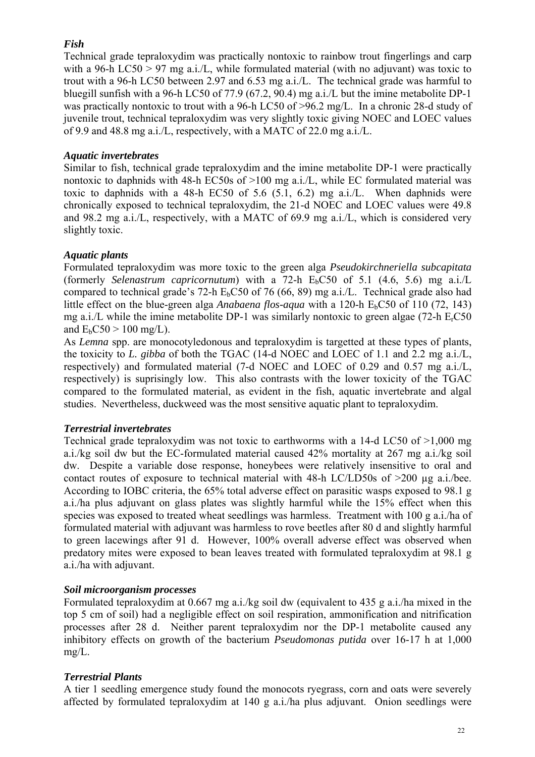## *Fish*

Technical grade tepraloxydim was practically nontoxic to rainbow trout fingerlings and carp with a 96-h LC50 > 97 mg a.i./L, while formulated material (with no adjuvant) was toxic to trout with a 96-h LC50 between 2.97 and 6.53 mg a.i./L. The technical grade was harmful to bluegill sunfish with a 96-h LC50 of 77.9 (67.2, 90.4) mg a.i./L but the imine metabolite DP-1 was practically nontoxic to trout with a 96-h LC50 of >96.2 mg/L. In a chronic 28-d study of juvenile trout, technical tepraloxydim was very slightly toxic giving NOEC and LOEC values of 9.9 and 48.8 mg a.i./L, respectively, with a MATC of 22.0 mg a.i./L.

## *Aquatic invertebrates*

Similar to fish, technical grade tepraloxydim and the imine metabolite DP-1 were practically nontoxic to daphnids with 48-h EC50s of >100 mg a.i./L, while EC formulated material was toxic to daphnids with a 48-h EC50 of 5.6 (5.1, 6.2) mg a.i./L. When daphnids were chronically exposed to technical tepraloxydim, the 21-d NOEC and LOEC values were 49.8 and 98.2 mg a.i./L, respectively, with a MATC of 69.9 mg a.i./L, which is considered very slightly toxic.

## *Aquatic plants*

Formulated tepraloxydim was more toxic to the green alga *Pseudokirchneriella subcapitata* (formerly *Selenastrum capricornutum*) with a 72-h  $E_bC50$  of 5.1 (4.6, 5.6) mg a.i./L compared to technical grade's 72-h  $E_bC50$  of 76 (66, 89) mg a.i./L. Technical grade also had little effect on the blue-green alga *Anabaena flos-aqua* with a 120-h E<sub>b</sub>C50 of 110 (72, 143) mg a.i./L while the imine metabolite DP-1 was similarly nontoxic to green algae (72-h ErC50 and  $E_b C 50 > 100$  mg/L).

As *Lemna* spp. are monocotyledonous and tepraloxydim is targetted at these types of plants, the toxicity to *L. gibba* of both the TGAC (14-d NOEC and LOEC of 1.1 and 2.2 mg a.i./L, respectively) and formulated material (7-d NOEC and LOEC of 0.29 and 0.57 mg a.i./L, respectively) is suprisingly low. This also contrasts with the lower toxicity of the TGAC compared to the formulated material, as evident in the fish, aquatic invertebrate and algal studies. Nevertheless, duckweed was the most sensitive aquatic plant to tepraloxydim.

## *Terrestrial invertebrates*

Technical grade tepraloxydim was not toxic to earthworms with a 14-d LC50 of >1,000 mg a.i./kg soil dw but the EC-formulated material caused 42% mortality at 267 mg a.i./kg soil dw. Despite a variable dose response, honeybees were relatively insensitive to oral and contact routes of exposure to technical material with  $48-h$  LC/LD50s of  $>200$  ug a.i./bee. According to IOBC criteria, the 65% total adverse effect on parasitic wasps exposed to 98.1 g a.i./ha plus adjuvant on glass plates was slightly harmful while the 15% effect when this species was exposed to treated wheat seedlings was harmless. Treatment with 100 g a.i./ha of formulated material with adjuvant was harmless to rove beetles after 80 d and slightly harmful to green lacewings after 91 d. However, 100% overall adverse effect was observed when predatory mites were exposed to bean leaves treated with formulated tepraloxydim at 98.1 g a.i./ha with adjuvant.

## *Soil microorganism processes*

Formulated tepraloxydim at 0.667 mg a.i./kg soil dw (equivalent to 435 g a.i./ha mixed in the top 5 cm of soil) had a negligible effect on soil respiration, ammonification and nitrification processes after 28 d. Neither parent tepraloxydim nor the DP-1 metabolite caused any inhibitory effects on growth of the bacterium *Pseudomonas putida* over 16-17 h at 1,000 mg/L.

## *Terrestrial Plants*

A tier 1 seedling emergence study found the monocots ryegrass, corn and oats were severely affected by formulated tepraloxydim at 140 g a.i./ha plus adjuvant. Onion seedlings were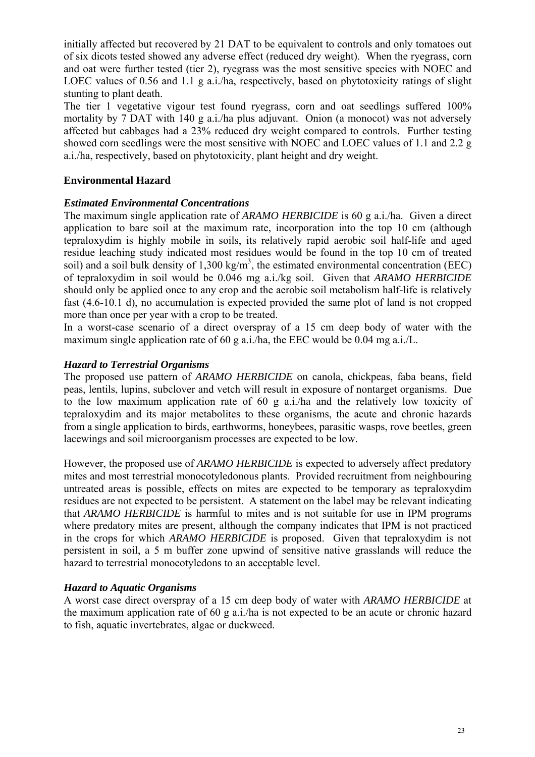initially affected but recovered by 21 DAT to be equivalent to controls and only tomatoes out of six dicots tested showed any adverse effect (reduced dry weight). When the ryegrass, corn and oat were further tested (tier 2), ryegrass was the most sensitive species with NOEC and LOEC values of 0.56 and 1.1 g a.i./ha, respectively, based on phytotoxicity ratings of slight stunting to plant death.

The tier 1 vegetative vigour test found ryegrass, corn and oat seedlings suffered 100% mortality by 7 DAT with 140 g a.i./ha plus adjuvant. Onion (a monocot) was not adversely affected but cabbages had a 23% reduced dry weight compared to controls. Further testing showed corn seedlings were the most sensitive with NOEC and LOEC values of 1.1 and 2.2 g a.i./ha, respectively, based on phytotoxicity, plant height and dry weight.

## **Environmental Hazard**

## *Estimated Environmental Concentrations*

The maximum single application rate of *ARAMO HERBICIDE* is 60 g a.i./ha. Given a direct application to bare soil at the maximum rate, incorporation into the top 10 cm (although tepraloxydim is highly mobile in soils, its relatively rapid aerobic soil half-life and aged residue leaching study indicated most residues would be found in the top 10 cm of treated soil) and a soil bulk density of  $1,300 \text{ kg/m}^3$ , the estimated environmental concentration (EEC) of tepraloxydim in soil would be 0.046 mg a.i./kg soil. Given that *ARAMO HERBICIDE* should only be applied once to any crop and the aerobic soil metabolism half-life is relatively fast (4.6-10.1 d), no accumulation is expected provided the same plot of land is not cropped more than once per year with a crop to be treated.

In a worst-case scenario of a direct overspray of a 15 cm deep body of water with the maximum single application rate of 60 g a.i./ha, the EEC would be 0.04 mg a.i./L.

## *Hazard to Terrestrial Organisms*

The proposed use pattern of *ARAMO HERBICIDE* on canola, chickpeas, faba beans, field peas, lentils, lupins, subclover and vetch will result in exposure of nontarget organisms. Due to the low maximum application rate of 60 g a.i./ha and the relatively low toxicity of tepraloxydim and its major metabolites to these organisms, the acute and chronic hazards from a single application to birds, earthworms, honeybees, parasitic wasps, rove beetles, green lacewings and soil microorganism processes are expected to be low.

However, the proposed use of *ARAMO HERBICIDE* is expected to adversely affect predatory mites and most terrestrial monocotyledonous plants. Provided recruitment from neighbouring untreated areas is possible, effects on mites are expected to be temporary as tepraloxydim residues are not expected to be persistent. A statement on the label may be relevant indicating that *ARAMO HERBICIDE* is harmful to mites and is not suitable for use in IPM programs where predatory mites are present, although the company indicates that IPM is not practiced in the crops for which *ARAMO HERBICIDE* is proposed. Given that tepraloxydim is not persistent in soil, a 5 m buffer zone upwind of sensitive native grasslands will reduce the hazard to terrestrial monocotyledons to an acceptable level.

## *Hazard to Aquatic Organisms*

A worst case direct overspray of a 15 cm deep body of water with *ARAMO HERBICIDE* at the maximum application rate of 60 g a.i./ha is not expected to be an acute or chronic hazard to fish, aquatic invertebrates, algae or duckweed.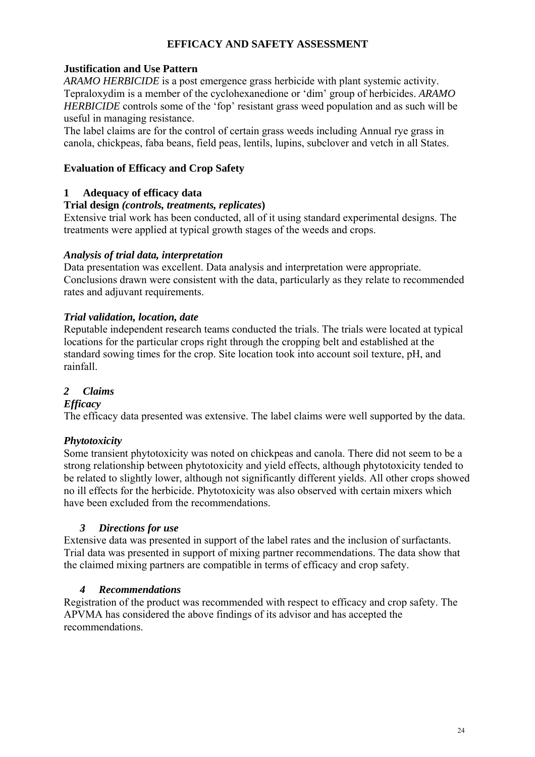# **EFFICACY AND SAFETY ASSESSMENT**

## **Justification and Use Pattern**

*ARAMO HERBICIDE* is a post emergence grass herbicide with plant systemic activity. Tepraloxydim is a member of the cyclohexanedione or 'dim' group of herbicides. *ARAMO HERBICIDE* controls some of the 'fop' resistant grass weed population and as such will be useful in managing resistance.

The label claims are for the control of certain grass weeds including Annual rye grass in canola, chickpeas, faba beans, field peas, lentils, lupins, subclover and vetch in all States.

## **Evaluation of Efficacy and Crop Safety**

## **1 Adequacy of efficacy data**

## **Trial design** *(controls, treatments, replicates***)**

Extensive trial work has been conducted, all of it using standard experimental designs. The treatments were applied at typical growth stages of the weeds and crops.

## *Analysis of trial data, interpretation*

Data presentation was excellent. Data analysis and interpretation were appropriate. Conclusions drawn were consistent with the data, particularly as they relate to recommended rates and adjuvant requirements.

## *Trial validation, location, date*

Reputable independent research teams conducted the trials. The trials were located at typical locations for the particular crops right through the cropping belt and established at the standard sowing times for the crop. Site location took into account soil texture, pH, and rainfall.

# *2 Claims*

## *Efficacy*

The efficacy data presented was extensive. The label claims were well supported by the data.

## *Phytotoxicity*

Some transient phytotoxicity was noted on chickpeas and canola. There did not seem to be a strong relationship between phytotoxicity and yield effects, although phytotoxicity tended to be related to slightly lower, although not significantly different yields. All other crops showed no ill effects for the herbicide. Phytotoxicity was also observed with certain mixers which have been excluded from the recommendations.

## *3 Directions for use*

Extensive data was presented in support of the label rates and the inclusion of surfactants. Trial data was presented in support of mixing partner recommendations. The data show that the claimed mixing partners are compatible in terms of efficacy and crop safety.

## *4 Recommendations*

Registration of the product was recommended with respect to efficacy and crop safety. The APVMA has considered the above findings of its advisor and has accepted the recommendations.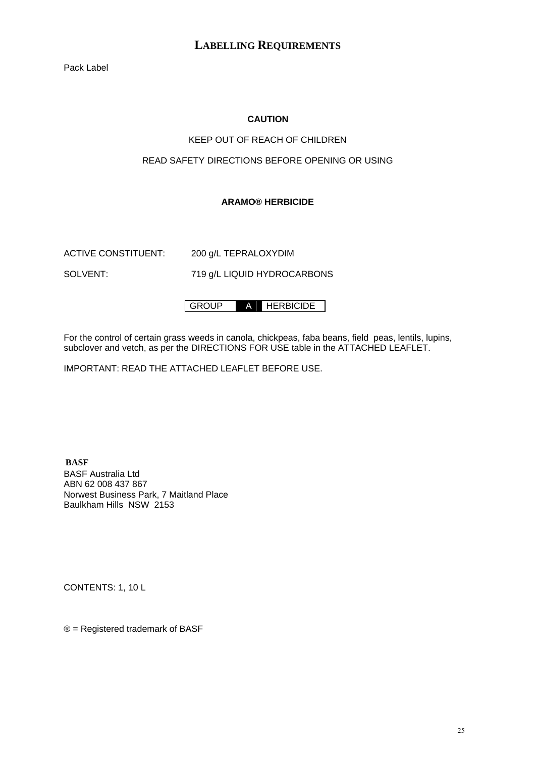## **LABELLING REQUIREMENTS**

Pack Label

#### **CAUTION**

#### KEEP OUT OF REACH OF CHILDREN

#### READ SAFETY DIRECTIONS BEFORE OPENING OR USING

#### **ARAMO® HERBICIDE**

ACTIVE CONSTITUENT: 200 g/L TEPRALOXYDIM

SOLVENT: 719 g/L LIQUID HYDROCARBONS

GROUP A HERBICIDE

For the control of certain grass weeds in canola, chickpeas, faba beans, field peas, lentils, lupins, subclover and vetch, as per the DIRECTIONS FOR USE table in the ATTACHED LEAFLET.

IMPORTANT: READ THE ATTACHED LEAFLET BEFORE USE.

**BASF** BASF Australia Ltd ABN 62 008 437 867 Norwest Business Park, 7 Maitland Place Baulkham Hills NSW 2153

CONTENTS: 1, 10 L

® = Registered trademark of BASF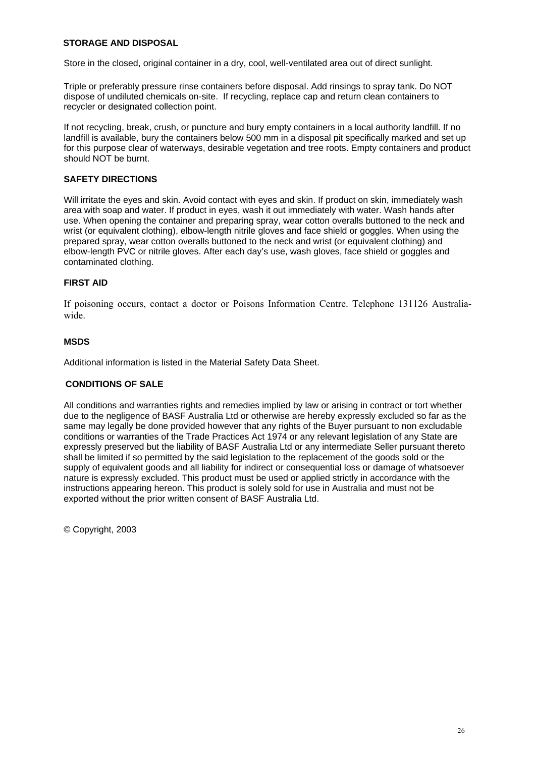#### **STORAGE AND DISPOSAL**

Store in the closed, original container in a dry, cool, well-ventilated area out of direct sunlight.

Triple or preferably pressure rinse containers before disposal. Add rinsings to spray tank. Do NOT dispose of undiluted chemicals on-site. If recycling, replace cap and return clean containers to recycler or designated collection point.

If not recycling, break, crush, or puncture and bury empty containers in a local authority landfill. If no landfill is available, bury the containers below 500 mm in a disposal pit specifically marked and set up for this purpose clear of waterways, desirable vegetation and tree roots. Empty containers and product should NOT be burnt.

#### **SAFETY DIRECTIONS**

Will irritate the eyes and skin. Avoid contact with eyes and skin. If product on skin, immediately wash area with soap and water. If product in eyes, wash it out immediately with water. Wash hands after use. When opening the container and preparing spray, wear cotton overalls buttoned to the neck and wrist (or equivalent clothing), elbow-length nitrile gloves and face shield or goggles. When using the prepared spray, wear cotton overalls buttoned to the neck and wrist (or equivalent clothing) and elbow-length PVC or nitrile gloves. After each day's use, wash gloves, face shield or goggles and contaminated clothing.

#### **FIRST AID**

If poisoning occurs, contact a doctor or Poisons Information Centre. Telephone 131126 Australiawide.

#### **MSDS**

Additional information is listed in the Material Safety Data Sheet.

#### **CONDITIONS OF SALE**

All conditions and warranties rights and remedies implied by law or arising in contract or tort whether due to the negligence of BASF Australia Ltd or otherwise are hereby expressly excluded so far as the same may legally be done provided however that any rights of the Buyer pursuant to non excludable conditions or warranties of the Trade Practices Act 1974 or any relevant legislation of any State are expressly preserved but the liability of BASF Australia Ltd or any intermediate Seller pursuant thereto shall be limited if so permitted by the said legislation to the replacement of the goods sold or the supply of equivalent goods and all liability for indirect or consequential loss or damage of whatsoever nature is expressly excluded. This product must be used or applied strictly in accordance with the instructions appearing hereon. This product is solely sold for use in Australia and must not be exported without the prior written consent of BASF Australia Ltd.

© Copyright, 2003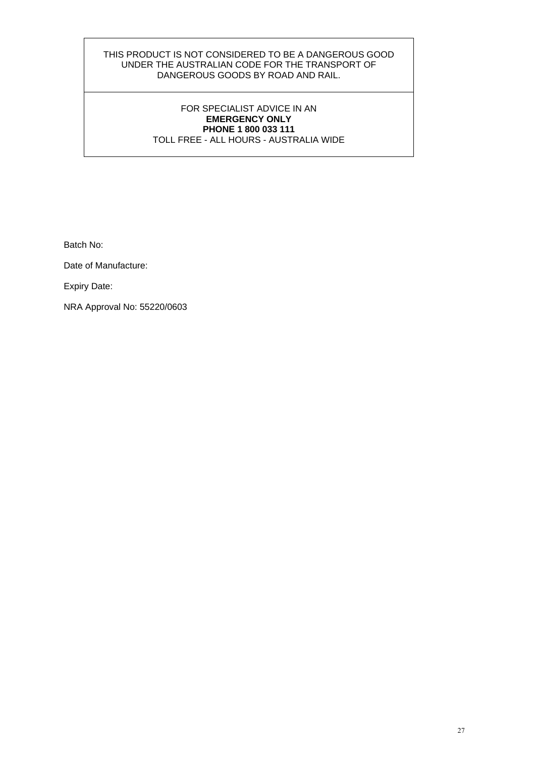#### THIS PRODUCT IS NOT CONSIDERED TO BE A DANGEROUS GOOD UNDER THE AUSTRALIAN CODE FOR THE TRANSPORT OF DANGEROUS GOODS BY ROAD AND RAIL.

#### FOR SPECIALIST ADVICE IN AN **EMERGENCY ONLY PHONE 1 800 033 111**  TOLL FREE - ALL HOURS - AUSTRALIA WIDE

Batch No:

Date of Manufacture:

Expiry Date:

NRA Approval No: 55220/0603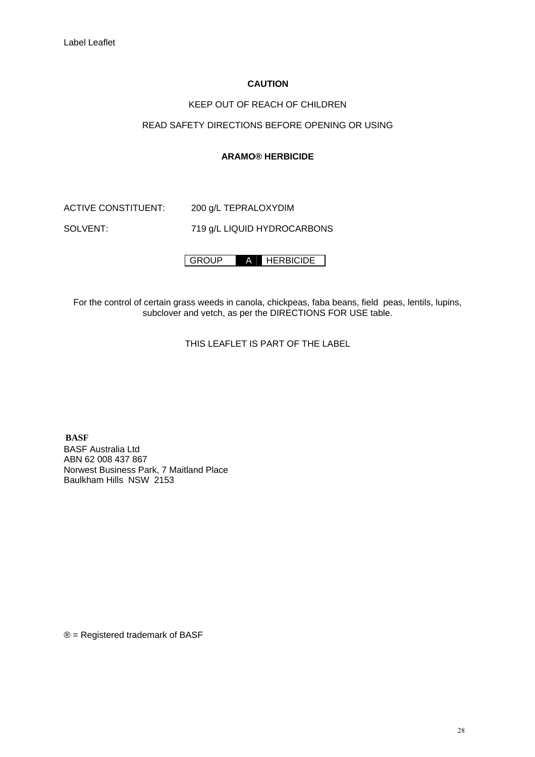#### **CAUTION**

#### KEEP OUT OF REACH OF CHILDREN

#### READ SAFETY DIRECTIONS BEFORE OPENING OR USING

#### **ARAMO® HERBICIDE**

ACTIVE CONSTITUENT: 200 g/L TEPRALOXYDIM

SOLVENT: 719 g/L LIQUID HYDROCARBONS

GROUP A HERBICIDE

For the control of certain grass weeds in canola, chickpeas, faba beans, field peas, lentils, lupins, subclover and vetch, as per the DIRECTIONS FOR USE table.

THIS LEAFLET IS PART OF THE LABEL

**BASF** BASF Australia Ltd ABN 62 008 437 867 Norwest Business Park, 7 Maitland Place Baulkham Hills NSW 2153

® = Registered trademark of BASF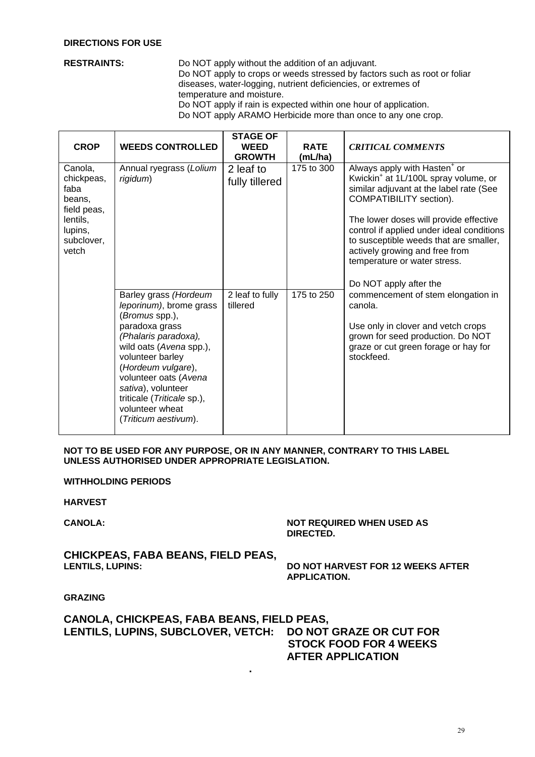#### **DIRECTIONS FOR USE**

**RESTRAINTS:** Do NOT apply without the addition of an adjuvant.

Do NOT apply to crops or weeds stressed by factors such as root or foliar diseases, water-logging, nutrient deficiencies, or extremes of temperature and moisture.

Do NOT apply if rain is expected within one hour of application.

Do NOT apply ARAMO Herbicide more than once to any one crop.

| <b>CROP</b>                                                                                          | <b>WEEDS CONTROLLED</b>                                                                                                                                                                                                                                                                                   | <b>STAGE OF</b><br><b>WEED</b><br><b>GROWTH</b> | <b>RATE</b><br>(mL/ha) | <b>CRITICAL COMMENTS</b>                                                                                                                                                                                                                                                                                                                                                                        |
|------------------------------------------------------------------------------------------------------|-----------------------------------------------------------------------------------------------------------------------------------------------------------------------------------------------------------------------------------------------------------------------------------------------------------|-------------------------------------------------|------------------------|-------------------------------------------------------------------------------------------------------------------------------------------------------------------------------------------------------------------------------------------------------------------------------------------------------------------------------------------------------------------------------------------------|
| Canola,<br>chickpeas,<br>faba<br>beans,<br>field peas,<br>lentils,<br>lupins,<br>subclover,<br>vetch | Annual ryegrass (Lolium<br>rigidum)                                                                                                                                                                                                                                                                       | 2 leaf to<br>fully tillered                     | 175 to 300             | Always apply with Hasten <sup>+</sup> or<br>Kwickin <sup>+</sup> at 1L/100L spray volume, or<br>similar adjuvant at the label rate (See<br>COMPATIBILITY section).<br>The lower doses will provide effective<br>control if applied under ideal conditions<br>to susceptible weeds that are smaller,<br>actively growing and free from<br>temperature or water stress.<br>Do NOT apply after the |
|                                                                                                      | Barley grass (Hordeum<br>leporinum), brome grass<br>(Bromus spp.),<br>paradoxa grass<br>(Phalaris paradoxa),<br>wild oats (Avena spp.),<br>volunteer barley<br>(Hordeum vulgare),<br>volunteer oats (Avena<br>sativa), volunteer<br>triticale (Triticale sp.),<br>volunteer wheat<br>(Triticum aestivum). | 2 leaf to fully<br>tillered                     | 175 to 250             | commencement of stem elongation in<br>canola.<br>Use only in clover and vetch crops<br>grown for seed production. Do NOT<br>graze or cut green forage or hay for<br>stockfeed.                                                                                                                                                                                                                  |

**NOT TO BE USED FOR ANY PURPOSE, OR IN ANY MANNER, CONTRARY TO THIS LABEL UNLESS AUTHORISED UNDER APPROPRIATE LEGISLATION.** 

#### **WITHHOLDING PERIODS**

**HARVEST** 

**CANOLA: NOT REQUIRED WHEN USED AS DIRECTED.** 

**CHICKPEAS, FABA BEANS, FIELD PEAS, LENTILS, LUPINS: DO NOT HARVEST FOR 12 WEEKS AFTER** 

 **APPLICATION.**

**GRAZING**

| CANOLA, CHICKPEAS, FABA BEANS, FIELD PEAS,                 |                               |
|------------------------------------------------------------|-------------------------------|
| LENTILS, LUPINS, SUBCLOVER, VETCH: DO NOT GRAZE OR CUT FOR |                               |
|                                                            | <b>STOCK FOOD FOR 4 WEEKS</b> |
|                                                            | <b>AFTER APPLICATION</b>      |

**.**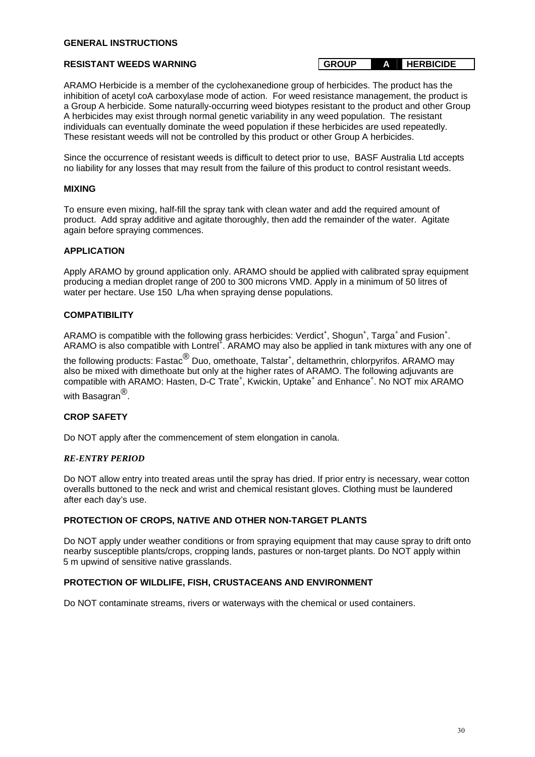#### **GENERAL INSTRUCTIONS**

**RESISTANT WEEDS WARNING GROUP A HERBICIDE** 

ARAMO Herbicide is a member of the cyclohexanedione group of herbicides. The product has the inhibition of acetyl coA carboxylase mode of action. For weed resistance management, the product is a Group A herbicide. Some naturally-occurring weed biotypes resistant to the product and other Group A herbicides may exist through normal genetic variability in any weed population. The resistant individuals can eventually dominate the weed population if these herbicides are used repeatedly. These resistant weeds will not be controlled by this product or other Group A herbicides.

Since the occurrence of resistant weeds is difficult to detect prior to use, BASF Australia Ltd accepts no liability for any losses that may result from the failure of this product to control resistant weeds.

#### **MIXING**

To ensure even mixing, half-fill the spray tank with clean water and add the required amount of product. Add spray additive and agitate thoroughly, then add the remainder of the water. Agitate again before spraying commences.

#### **APPLICATION**

Apply ARAMO by ground application only. ARAMO should be applied with calibrated spray equipment producing a median droplet range of 200 to 300 microns VMD. Apply in a minimum of 50 litres of water per hectare. Use 150 L/ha when spraying dense populations.

#### **COMPATIBILITY**

ARAMO is compatible with the following grass herbicides: Verdict<sup>+</sup>, Shogun<sup>+</sup>, Targa<sup>+</sup> and Fusion<sup>+</sup>. ARAMO is also compatible with Lontrel<sup>+</sup>. ARAMO may also be applied in tank mixtures with any one of

the following products: Fastac $^\circledR$  Duo, omethoate, Talstar $^*$ , deltamethrin, chlorpyrifos. ARAMO may also be mixed with dimethoate but only at the higher rates of ARAMO. The following adjuvants are compatible with ARAMO: Hasten, D-C Trate<sup>+</sup>, Kwickin, Uptake<sup>+</sup> and Enhance<sup>+</sup>. No NOT mix ARAMO with Basagran<sup>®</sup>.

#### **CROP SAFETY**

Do NOT apply after the commencement of stem elongation in canola.

#### *RE-ENTRY PERIOD*

Do NOT allow entry into treated areas until the spray has dried. If prior entry is necessary, wear cotton overalls buttoned to the neck and wrist and chemical resistant gloves. Clothing must be laundered after each day's use.

#### **PROTECTION OF CROPS, NATIVE AND OTHER NON-TARGET PLANTS**

Do NOT apply under weather conditions or from spraying equipment that may cause spray to drift onto nearby susceptible plants/crops, cropping lands, pastures or non-target plants. Do NOT apply within 5 m upwind of sensitive native grasslands.

#### **PROTECTION OF WILDLIFE, FISH, CRUSTACEANS AND ENVIRONMENT**

Do NOT contaminate streams, rivers or waterways with the chemical or used containers.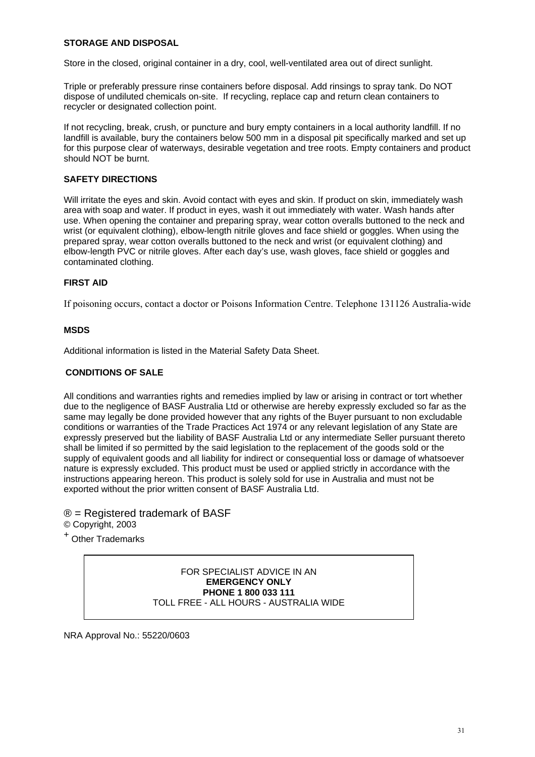#### **STORAGE AND DISPOSAL**

Store in the closed, original container in a dry, cool, well-ventilated area out of direct sunlight.

Triple or preferably pressure rinse containers before disposal. Add rinsings to spray tank. Do NOT dispose of undiluted chemicals on-site. If recycling, replace cap and return clean containers to recycler or designated collection point.

If not recycling, break, crush, or puncture and bury empty containers in a local authority landfill. If no landfill is available, bury the containers below 500 mm in a disposal pit specifically marked and set up for this purpose clear of waterways, desirable vegetation and tree roots. Empty containers and product should NOT be burnt.

#### **SAFETY DIRECTIONS**

Will irritate the eyes and skin. Avoid contact with eyes and skin. If product on skin, immediately wash area with soap and water. If product in eyes, wash it out immediately with water. Wash hands after use. When opening the container and preparing spray, wear cotton overalls buttoned to the neck and wrist (or equivalent clothing), elbow-length nitrile gloves and face shield or goggles. When using the prepared spray, wear cotton overalls buttoned to the neck and wrist (or equivalent clothing) and elbow-length PVC or nitrile gloves. After each day's use, wash gloves, face shield or goggles and contaminated clothing.

#### **FIRST AID**

If poisoning occurs, contact a doctor or Poisons Information Centre. Telephone 131126 Australia-wide

#### **MSDS**

Additional information is listed in the Material Safety Data Sheet.

#### **CONDITIONS OF SALE**

All conditions and warranties rights and remedies implied by law or arising in contract or tort whether due to the negligence of BASF Australia Ltd or otherwise are hereby expressly excluded so far as the same may legally be done provided however that any rights of the Buyer pursuant to non excludable conditions or warranties of the Trade Practices Act 1974 or any relevant legislation of any State are expressly preserved but the liability of BASF Australia Ltd or any intermediate Seller pursuant thereto shall be limited if so permitted by the said legislation to the replacement of the goods sold or the supply of equivalent goods and all liability for indirect or consequential loss or damage of whatsoever nature is expressly excluded. This product must be used or applied strictly in accordance with the instructions appearing hereon. This product is solely sold for use in Australia and must not be exported without the prior written consent of BASF Australia Ltd.

® = Registered trademark of BASF

© Copyright, 2003

+ Other Trademarks

#### FOR SPECIALIST ADVICE IN AN **EMERGENCY ONLY PHONE 1 800 033 111**  TOLL FREE - ALL HOURS - AUSTRALIA WIDE

NRA Approval No.: 55220/0603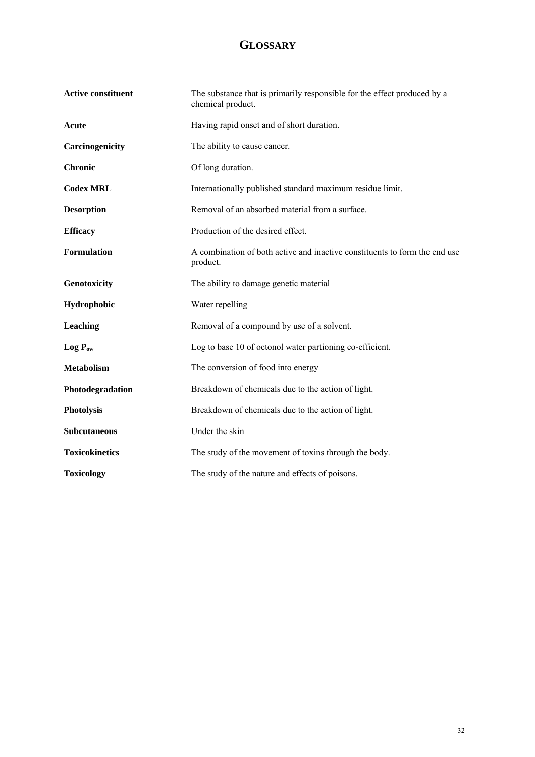# **GLOSSARY**

| <b>Active constituent</b> | The substance that is primarily responsible for the effect produced by a<br>chemical product. |
|---------------------------|-----------------------------------------------------------------------------------------------|
| Acute                     | Having rapid onset and of short duration.                                                     |
| Carcinogenicity           | The ability to cause cancer.                                                                  |
| <b>Chronic</b>            | Of long duration.                                                                             |
| <b>Codex MRL</b>          | Internationally published standard maximum residue limit.                                     |
| <b>Desorption</b>         | Removal of an absorbed material from a surface.                                               |
| <b>Efficacy</b>           | Production of the desired effect.                                                             |
| <b>Formulation</b>        | A combination of both active and inactive constituents to form the end use<br>product.        |
| Genotoxicity              | The ability to damage genetic material                                                        |
| Hydrophobic               | Water repelling                                                                               |
| <b>Leaching</b>           | Removal of a compound by use of a solvent.                                                    |
| $Log P_{ow}$              | Log to base 10 of octorol water partioning co-efficient.                                      |
| <b>Metabolism</b>         | The conversion of food into energy                                                            |
| Photodegradation          | Breakdown of chemicals due to the action of light.                                            |
| <b>Photolysis</b>         | Breakdown of chemicals due to the action of light.                                            |
| <b>Subcutaneous</b>       | Under the skin                                                                                |
| <b>Toxicokinetics</b>     | The study of the movement of toxins through the body.                                         |
| <b>Toxicology</b>         | The study of the nature and effects of poisons.                                               |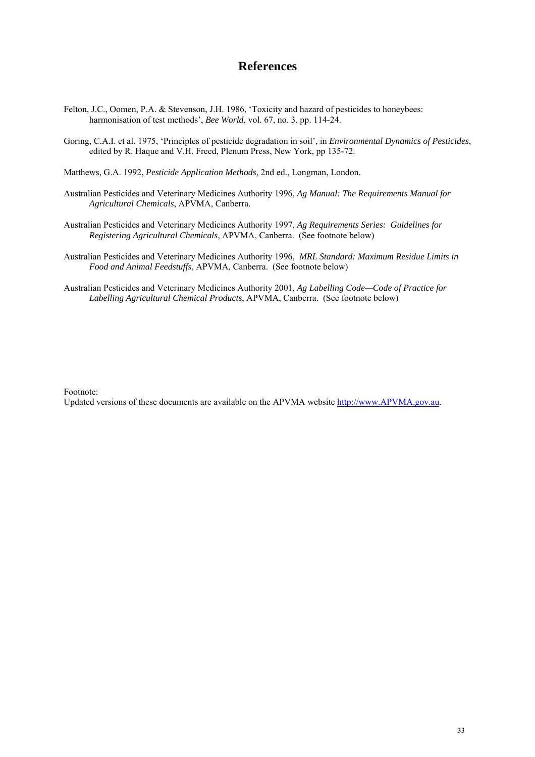## **References**

- Felton, J.C., Oomen, P.A. & Stevenson, J.H. 1986, 'Toxicity and hazard of pesticides to honeybees: harmonisation of test methods', *Bee World*, vol. 67, no. 3, pp. 114-24.
- Goring, C.A.I. et al. 1975, 'Principles of pesticide degradation in soil', in *Environmental Dynamics of Pesticides*, edited by R. Haque and V.H. Freed, Plenum Press, New York, pp 135-72.
- Matthews, G.A. 1992, *Pesticide Application Methods*, 2nd ed., Longman, London.
- Australian Pesticides and Veterinary Medicines Authority 1996, *Ag Manual: The Requirements Manual for Agricultural Chemicals*, APVMA, Canberra.
- Australian Pesticides and Veterinary Medicines Authority 1997, *Ag Requirements Series: Guidelines for Registering Agricultural Chemicals*, APVMA, Canberra. (See footnote below)
- Australian Pesticides and Veterinary Medicines Authority 1996, *MRL Standard: Maximum Residue Limits in Food and Animal Feedstuffs*, APVMA, Canberra. (See footnote below)
- Australian Pesticides and Veterinary Medicines Authority 2001, *Ag Labelling Code—Code of Practice for Labelling Agricultural Chemical Products*, APVMA, Canberra. (See footnote below)

Footnote:

Updated versions of these documents are available on the APVMA website [http://www.APVMA.gov.au.](http://www.nra.gov.au/)